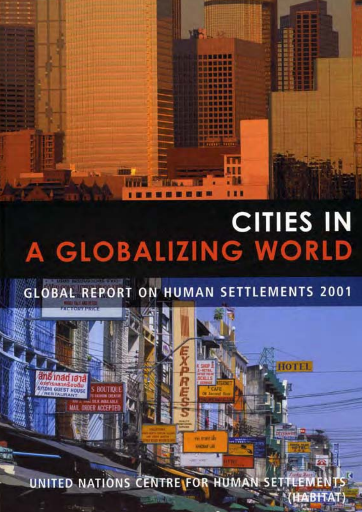# . . . **CITIES IN** A GLOBALIZING WORLD

. . . . . . . **TY SHARA . . . . . . .** 

> m m **THE R. P. LEW . . . . . . NORMAN HEATHER**

> > ш

**HOTEL** 

**GLOBAL REPORT ON HUMAN SETTLEMENTS 2001** 

âns înad la la OTHTSHAMASOUGU

**IRANT** 

**BOUTIOH** 

UNITED NATIONS CENTRE FOR HUM

ni merak **KINDRAFTAR**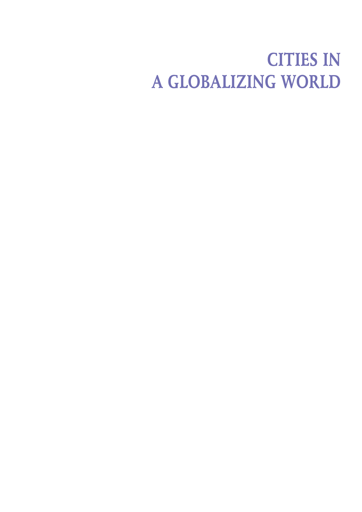## **CITIES IN A GLOBALIZING WORLD**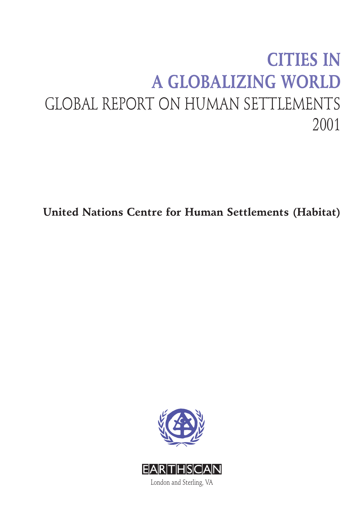## **CITIES IN A GLOBALIZING WORLD** GLOBAL REPORT ON HUMAN SETTLEMENTS 2001

**United Nations Centre for Human Settlements (Habitat)**



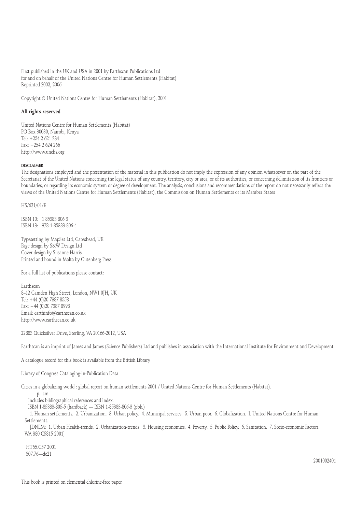First published in the UK and USA in 2001 by Earthscan Publications Ltd for and on behalf of the United Nations Centre for Human Settlements (Habitat) Reprinted 2002, 2006

Copyright © United Nations Centre for Human Settlements (Habitat), 2001

#### **All rights reserved**

United Nations Centre for Human Settlements (Habitat) PO Box 30030, Nairobi, Kenya Tel: +254 2 621 234 Fax: +254 2 624 266 http://www.unchs.org

#### **DISCLAIMER**

The designations employed and the presentation of the material in this publication do not imply the expression of any opinion whatsoever on the part of the Secretariat of the United Nations concerning the legal status of any country, territory, city or area, or of its authorities, or concerning delimitation of its frontiers or boundaries, or regarding its economic system or degree of development. The analysis, conclusions and recommendations of the report do not necessarily reflect the views of the United Nations Centre for Human Settlements (Habitat), the Commission on Human Settlements or its Member States

#### HS/621/01/E

ISBN 10: 1 85383 806 3 ISBN 13: 978-1-85383-806-4

Typesetting by MapSet Ltd, Gateshead, UK Page design by S&W Design Ltd Cover design by Susanne Harris Printed and bound in Malta by Gutenberg Press

For a full list of publications please contact:

Earthscan 8–12 Camden High Street, London, NW1 0JH, UK Tel: +44 (0)20 7387 8558 Fax: +44 (0)20 7387 8998 Email: earthinfo@earthscan.co.uk http://www.earthscan.co.uk

22883 Quicksilver Drive, Sterling, VA 20166-2012, USA

Earthscan is an imprint of James and James (Science Publishers) Ltd and publishes in association with the International Institute for Environment and Development

A catalogue record for this book is available from the British Library

#### Library of Congress Cataloging-in-Publication Data

Cities in a globalizing world : global report on human settlements 2001 / United Nations Centre for Human Settlements (Habitat).

p. cm.

Includes bibliographical references and index.

ISBN 1-85383-805-5 (hardback) — ISBN 1-85383-806-3 (pbk.)

1. Human settlements. 2. Urbanization. 3. Urban policy. 4. Municipal services. 5. Urban poor. 6. Globalization. I. United Nations Centre for Human Settlements.

[DNLM: 1. Urban Health-trends. 2. Urbanization-trends. 3. Housing economics. 4. Poverty. 5. Public Policy. 6. Sanitation. 7. Socio-economic Factors. WA 380 C5815 2001]

HT65.C57 2001 307.76—dc21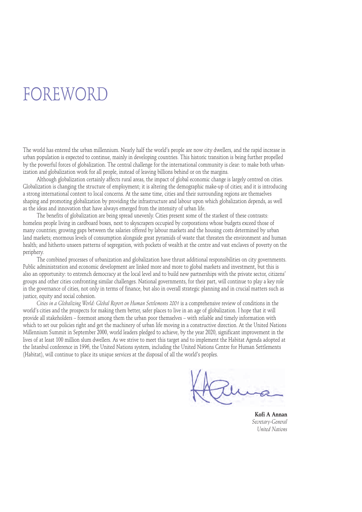## FOREWOR

The world has entered the urban millennium. Nearly half the world's people are now city dwellers, and the rapid increase in urban population is expected to continue, mainly in developing countries. This historic transition is being further propelled by the powerful forces of globalization. The central challenge for the international community is clear: to make both urbanization and globalization work for all people, instead of leaving billions behind or on the margins.

Although globalization certainly affects rural areas, the impact of global economic change is largely centred on cities. Globalization is changing the structure of employment; it is altering the demographic make-up of cities; and it is introducing a strong international context to local concerns. At the same time, cities and their surrounding regions are themselves shaping and promoting globalization by providing the infrastructure and labour upon which globalization depends, as well as the ideas and innovation that have always emerged from the intensity of urban life.

The benefits of globalization are being spread unevenly. Cities present some of the starkest of these contrasts: homeless people living in cardboard boxes, next to skyscrapers occupied by corporations whose budgets exceed those of many countries; growing gaps between the salaries offered by labour markets and the housing costs determined by urban land markets; enormous levels of consumption alongside great pyramids of waste that threaten the environment and human health; and hitherto unseen patterns of segregation, with pockets of wealth at the centre and vast enclaves of poverty on the periphery.

The combined processes of urbanization and globalization have thrust additional responsibilities on city governments. Public administration and economic development are linked more and more to global markets and investment, but this is also an opportunity: to entrench democracy at the local level and to build new partnerships with the private sector, citizens' groups and other cities confronting similar challenges. National governments, for their part, will continue to play a key role in the governance of cities, not only in terms of finance, but also in overall strategic planning and in crucial matters such as justice, equity and social cohesion.

*Cities in a Globalizing World: Global Report on Human Settlements 2001* is a comprehensive review of conditions in the world's cities and the prospects for making them better, safer places to live in an age of globalization. I hope that it will provide all stakeholders – foremost among them the urban poor themselves – with reliable and timely information with which to set our policies right and get the machinery of urban life moving in a constructive direction. At the United Nations Millennium Summit in September 2000, world leaders pledged to achieve, by the year 2020, significant improvement in the lives of at least 100 million slum dwellers. As we strive to meet this target and to implement the Habitat Agenda adopted at the Istanbul conference in 1996, the United Nations system, including the United Nations Centre for Human Settlements (Habitat), will continue to place its unique services at the disposal of all the world's peoples.

**Kofi A Annan** *Secretary-General United Nations*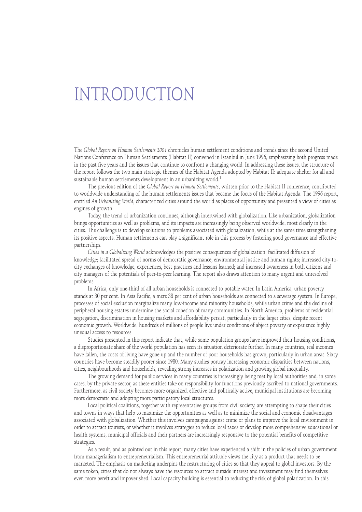## INTRODUCTION

The *Global Report on Human Settlements 2001* chronicles human settlement conditions and trends since the second United Nations Conference on Human Settlements (Habitat II) convened in Istanbul in June 1996, emphasizing both progress made in the past five years and the issues that continue to confront a changing world. In addressing these issues, the structure of the report follows the two main strategic themes of the Habitat Agenda adopted by Habitat II: adequate shelter for all and sustainable human settlements development in an urbanizing world.<sup>1</sup>

The previous edition of the *Global Report on Human Settlements*, written prior to the Habitat II conference, contributed to worldwide understanding of the human settlements issues that became the focus of the Habitat Agenda. The 1996 report, entitled *An Urbanizing World*, characterized cities around the world as places of opportunity and presented a view of cities as engines of growth.

Today, the trend of urbanization continues, although intertwined with globalization. Like urbanization, globalization brings opportunities as well as problems, and its impacts are increasingly being observed worldwide, most clearly in the cities. The challenge is to develop solutions to problems associated with globalization, while at the same time strengthening its positive aspects. Human settlements can play a significant role in this process by fostering good governance and effective partnerships.

*Cities in a Globalizing World* acknowledges the positive consequences of globalization: facilitated diffusion of knowledge; facilitated spread of norms of democratic governance, environmental justice and human rights; increased city-tocity exchanges of knowledge, experiences, best practices and lessons learned; and increased awareness in both citizens and city managers of the potentials of peer-to-peer learning. The report also draws attention to many urgent and unresolved problems.

In Africa, only one-third of all urban households is connected to potable water. In Latin America, urban poverty stands at 30 per cent. In Asia Pacific, a mere 38 per cent of urban households are connected to a sewerage system. In Europe, processes of social exclusion marginalize many low-income and minority households, while urban crime and the decline of peripheral housing estates undermine the social cohesion of many communities. In North America, problems of residential segregation, discrimination in housing markets and affordability persist, particularly in the larger cities, despite recent economic growth. Worldwide, hundreds of millions of people live under conditions of abject poverty or experience highly unequal access to resources.

Studies presented in this report indicate that, while some population groups have improved their housing conditions, a disproportionate share of the world population has seen its situation deteriorate further. In many countries, real incomes have fallen, the costs of living have gone up and the number of poor households has grown, particularly in urban areas. Sixty countries have become steadily poorer since 1980. Many studies portray increasing economic disparities between nations, cities, neighbourhoods and households, revealing strong increases in polarization and growing global inequality.

The growing demand for public services in many countries is increasingly being met by local authorities and, in some cases, by the private sector, as these entities take on responsibility for functions previously ascribed to national governments. Furthermore, as civil society becomes more organized, effective and politically active, municipal institutions are becoming more democratic and adopting more participatory local structures.

Local political coalitions, together with representative groups from civil society, are attempting to shape their cities and towns in ways that help to maximize the opportunities as well as to minimize the social and economic disadvantages associated with globalization. Whether this involves campaigns against crime or plans to improve the local environment in order to attract tourists, or whether it involves strategies to reduce local taxes or develop more comprehensive educational or health systems, municipal officials and their partners are increasingly responsive to the potential benefits of competitive strategies.

As a result, and as pointed out in this report, many cities have experienced a shift in the policies of urban government from managerialism to entrepreneurialism. This entrepreneurial attitude views the city as a product that needs to be marketed. The emphasis on marketing underpins the restructuring of cities so that they appeal to global investors. By the same token, cities that do not always have the resources to attract outside interest and investment may find themselves even more bereft and impoverished. Local capacity building is essential to reducing the risk of global polarization. In this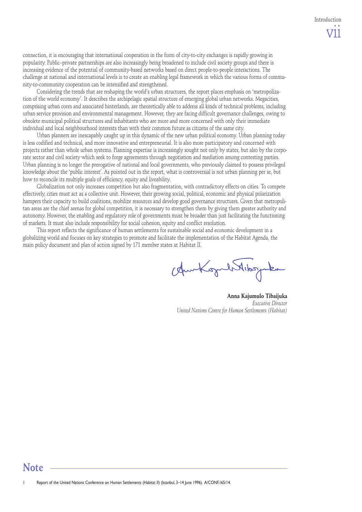connection, it is encouraging that international cooperation in the form of city-to-city exchanges is rapidly growing in popularity. Public–private partnerships are also increasingly being broadened to include civil society groups and there is increasing evidence of the potential of community-based networks based on direct people-to-people interactions. The challenge at national and international levels is to create an enabling legal framework in which the various forms of community-to-community cooperation can be intensified and strengthened.

Considering the trends that are reshaping the world's urban structures, the report places emphasis on 'metropolization of the world economy'. It describes the archipelagic spatial structure of emerging global urban networks. Megacities, comprising urban cores and associated hinterlands, are theoretically able to address all kinds of technical problems, including urban service provision and environmental management. However, they are facing difficult governance challenges, owing to obsolete municipal political structures and inhabitants who are more and more concerned with only their immediate individual and local neighbourhood interests than with their common future as citizens of the same city.

Urban planners are inescapably caught up in this dynamic of the new urban political economy. Urban planning today is less codified and technical, and more innovative and entrepreneurial. It is also more participatory and concerned with projects rather than whole urban systems. Planning expertise is increasingly sought not only by states, but also by the corporate sector and civil society which seek to forge agreements through negotiation and mediation among contesting parties. Urban planning is no longer the prerogative of national and local governments, who previously claimed to possess privileged knowledge about the 'public interest'. As pointed out in the report, what is controversial is not urban planning per se, but how to reconcile its multiple goals of efficiency, equity and liveability.

Globalization not only increases competition but also fragmentation, with contradictory effects on cities. To compete effectively, cities must act as a collective unit. However, their growing social, political, economic and physical polarization hampers their capacity to build coalitions, mobilize resources and develop good governance structures. Given that metropolitan areas are the chief arenas for global competition, it is necessary to strengthen them by giving them greater authority and autonomy. However, the enabling and regulatory role of governments must be broader than just facilitating the functioning of markets. It must also include responsibility for social cohesion, equity and conflict resolution.

This report reflects the significance of human settlements for sustainable social and economic development in a globalizing world and focuses on key strategies to promote and facilitate the implementation of the Habitat Agenda, the main policy document and plan of action signed by 171 member states at Habitat II.

Auchoral Hibszpher

**Anna Kajumulo Tibaijuka** *Executive Director United Nations Centre for Human Settlements (Habitat)*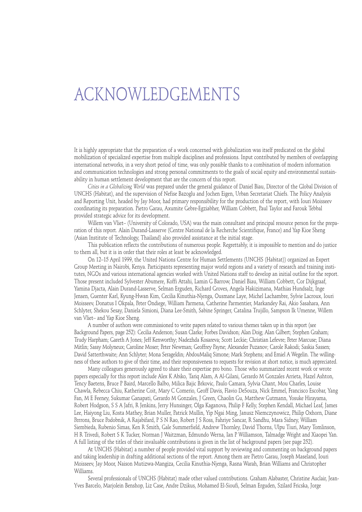## ACKNOWLEDGEMENTS

It is highly appropriate that the preparation of a work concerned with globalization was itself predicated on the global mobilization of specialized expertise from multiple disciplines and professions. Input contributed by members of overlapping international networks, in a very short period of time, was only possible thanks to a combination of modern information and communication technologies and strong personal commitments to the goals of social equity and environmental sustainability in human settlement development that are the concern of this report.

*Cities in a Globalizing World* was prepared under the general guidance of Daniel Biau, Director of the Global Division of UNCHS (Habitat), and the supervision of Nefise Bazoglu and Jochen Eigen, Urban Secretariat Chiefs. The Policy Analysis and Reporting Unit, headed by Jay Moor, had primary responsibility for the production of the report, with Iouri Moisseev coordinating its preparation. Pietro Garau, Axumite Gebre-Egziabher, William Cobbett, Paul Taylor and Farouk Tebbal provided strategic advice for its development.

Willem van Vliet– (University of Colorado, USA) was the main consultant and principal resource person for the preparation of this report. Alain Durand-Lasserve (Centre National de la Recherche Scientifique, France) and Yap Kioe Sheng (Asian Institute of Technology, Thailand) also provided assistance at the initial stage.

This publication reflects the contributions of numerous people. Regrettably, it is impossible to mention and do justice to them all, but it is in order that their roles at least be acknowledged.

On 12–15 April 1999, the United Nations Centre for Human Settlements (UNCHS (Habitat)) organized an Expert Group Meeting in Nairobi, Kenya. Participants representing major world regions and a variety of research and training institutes, NGOs and various international agencies worked with United Nations staff to develop an initial outline for the report. Those present included Sylvester Abumere, Koffi Attahi, Lamin G Barrow, Daniel Biau, William Cobbett, Cor Dijkgraaf, Yamina Djacta, Alain Durand-Lasserve, Selman Erguden, Richard Groves, Angela Hakizimana, Mathias Hundsalz, Inge Jensen, Guenter Karl, Kyung-Hwan Kim, Cecilia Kinuthia-Njenga, Ousmane Laye, Michel Lachambre, Sylvie Lacroux, Iouri Moisseev, Donatus I Okpala, Peter Ondiege, William Parmena, Catherine Parmentier, Markandey Rai, Akio Sasahara, Ann Schlyter, Shekou Sesay, Daniela Simioni, Diana Lee-Smith, Sabine Springer, Catalina Trujillo, Sampson Ik Umenne, Willem van Vliet– and Yap Kioe Sheng.

A number of authors were commissioned to write papers related to various themes taken up in this report (see Background Papers, page 252): Cecilia Anderson; Susan Clarke; Forbes Davidson; Alan Doig; Alan Gilbert; Stephen Graham; Trudy Harpham; Gareth A Jones; Jeff Kenworthy; Nadezhda Kosareva; Scott Leckie; Christian Lefevre; Peter Marcuse; Diana Mitlin; Sassy Molyneux; Caroline Moser; Peter Newman; Geoffrey Payne; Alexander Puzanov; Carole Rakodi; Saskia Sassen; David Satterthwaite; Ann Schlyter; Mona Serageldin; AbdouMaliq Simone; Mark Stephens; and Emiel A Wegelin. The willingness of these authors to give of their time, and their responsiveness to requests for revision at short notice, is much appreciated.

Many colleagues generously agreed to share their expertise pro bono. Those who summarized recent work or wrote papers especially for this report include Alex K Abiko, Tariq Alam, A Al-Gilani, Gerardo M Gonzales Arrieta, Hazel Ashton, Tency Baetens, Bruce P Baird, Marcello Balbo, Milica Bajic Brkovic, Paulo Camara, Sylvia Chant, Mou Charles, Louise Chawla, Rebecca Chiu, Katherine Coit, Mary C Comerio, Geoff Davis, Flavio DeSouza, Nick Emmel, Francisco Escobar, Yang Fan, M E Feeney, Sukumar Ganapati, Gerardo M Gonzales, J Green, Chaolin Gu, Matthew Gutmann, Yosuke Hirayama, Robert Hodgson, S S A Jafri, R Jenkins, Jerry Hunsinger, Olga Kaganova, Philip F Kelly, Stephen Kendall, Michael Leaf, James Lee, Haiyong Liu, Kosta Mathey, Brian Muller, Patrick Mullin, Yip Ngai Ming, Janusz Niemczynowicz, Philip Oxhorn, Diane Perrons, Bruce Podobnik, A Rajabifard, P S N Rao, Robert J S Ross, Fahriye Sancar, R Sandhu, Mara Sidney, William Siembieda, Rubenio Simas, Ken R Smith, Gale Summerfield, Andrew Thornley, David Thorns, Ulpu Tiuri, Mary Tomlinson, H R Trivedi, Robert S K Tucker, Norman J Waitzman, Edmundo Werna, Ian P Williamson, Talmadge Wright and Xiaopei Yan. A full listing of the titles of their invaluable contributions is given in the list of background papers (see page 252).

At UNCHS (Habitat) a number of people provided vital support by reviewing and commenting on background papers and taking leadership in drafting additional sections of the report. Among them are Pietro Garau, Joseph Maseland, Iouri Moisseev, Jay Moor, Naison Mutizwa-Mangiza, Cecilia Kinuthia-Njenga, Rasna Warah, Brian Williams and Christopher Williams.

Several professionals of UNCHS (Habitat) made other valued contributions. Graham Alabaster, Christine Auclair, Jean-Yves Barcelo, Marjolein Benshop, Liz Case, Andre Dzikus, Mohamed El-Sioufi, Selman Erguden, Szilard Fricska, Jorge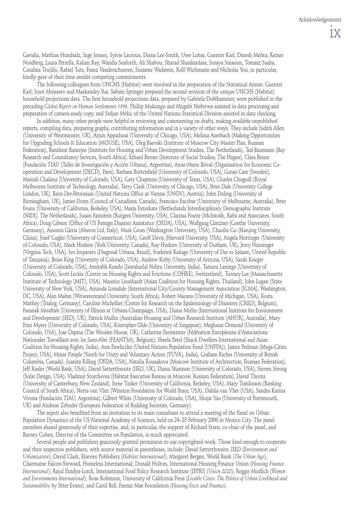Gavidia, Mathias Hundsalz, Inge Jensen, Sylvie Lacroux, Diana Lee-Smith, Uwe Lohse, Guenter Karl, Dinesh Mehta, Reiner Nordberg, Laura Petrella, Kalian Ray, Wandia Seaforth, Ali Shabou, Sharad Shankardass, Soraya Smaoun, Tomasz Sudra, Catalina Trujillo, Rafael Tuts, Franz Vanderschueren, Susanne Wadstein, Rolf Wichmann and Nicholas You, in particular, kindly gave of their time amidst competing commitments.

The following colleagues from UNCHS (Habitat) were involved in the preparation of the Statistical Annex: Guenter Karl; Iouri Moisseev and Markandey Rai. Sabine Springer prepared the second revision of the unique UNCHS (Habitat) household projections data. The first household projections data, prepared by Gabriela Doblhammer, were published in the preceding *Global Report on Human Settlements 1996*. Phillip Mukungu and Mugabi Nsibirwa assisted in data processing and preparation of camera-ready copy, and Srdjan Mrkic of the United Nations Statistical Division assisted in data checking.

In addition, many other people were helpful in reviewing and commenting on drafts, making available unpublished reports, compiling data, preparing graphs, contributing information and in a variety of other ways. They include Judith Allen (University of Westminster, UK), Arjun Appadurai (University of Chicago, USA), Melissa Auerbach (Making Opportunities for Upgrading Schools & Education (MOUSE), USA), Oleg Baevski (Institute of Moscow City Master Plan, Russian Federation), Banshree Banerjee (Institute for Housing and Urban Development Studies, The Netherlands), Ted Baumann (Bay Research and Consultancy Services, South Africa), Erhard Berner (Institute of Social Studies, The Hague), Clara Braun (Fundación TIAU (Taller de Investigación y Acción Urbana), Argentina), Anne-Marie Brival (Organisation for Economic Cooperation and Development (OECD), Paris), Barbara Buttenfield (University of Colorado, USA), Goran Cars (Sweden), Manish Chalana (University of Colorado, USA), Gary Chapman (University of Texas, USA), Charles Choguill (Royal Melbourne Institute of Technology, Australia), Terry Clark (University of Chicago, USA), Peter Dale (University College London, UK), Baris Der-Petrossian (United Nations Office at Vienna (UNOV), Austria), John Doling (University of Birmingham, UK), James Dunn (Council of Canadians, Canada), Francisco Escobar (University of Melbourne, Australia), Peter Evans (University of California, Berkeley, USA), Marja Exterkate (Netherlands Interdisciplinary Demographic Institute (NIDI), The Netherlands), Susan Fainstein (Rutgers University, USA), Clarissa Fourie (McIntosh, Xaba and Associates, South Africa), Doug Gibson (Office of US Foreign Disaster Assistance (OFDA), USA), Wolfgang Glatzner (Goethe University, Germany), Assunta Gleria (Abaton Ltd, Italy), Mark Gross (Washington University, USA), Chaolin Gu (Nanjing University, China), Josef Gugler (University of Connecticut, USA), Geoff Davis (Harvard University, USA), Angela Hottinger (University of Colorado, USA), Mark Hudson (York University, Canada), Ray Hudson (University of Durham, UK), Jerry Hunsinger (Virginia Tech, USA), Ivo Imparato (Diagonal Urbana, Brazil), Fraderick Kailage (University of Dar es Salaam, United Republic of Tanzania), Brian King (University of Colorado, USA), Andrew Kirby (University of Arizona, USA), Sarah Krieger (University of Colorado, USA), Amitabh Kundu (Jawaharlal Nehru University, India), Tamara Laninga (University of Colorado, USA), Scott Leckie (Centre on Housing Rights and Evictions (COHRE), Switzerland), Tunney Lee (Massachusetts Institute of Technology (MIT), USA), Maurice Leonhardt (Asian Coalition for Housing Rights, Thailand), John Logan (State University of New York, USA), Amanda Lonsdale (International City/County Management Association (ICMA), Washington, DC, USA), Alan Mabin (Witwatersrand University, South Africa), Robert Marans (University of Michigan, USA), Kosta Mathey (Trialog, Germany), Caroline Michellier (Centre for Research on the Epidemiology of Disasters (CRED), Belgium), Faranak Miraftab (University of Illinois at Urbana-Champaign, USA), Diana Mitlin (International Institute for Environment and Development (IIED), UK), Patrick Mullin (Australian Housing and Urban Research Institute (AHUR), Australia), Mary Fran Myers (University of Colorado, USA), Kristopher Olds (University of Singapore), Meghann Ormond (University of Colorado, USA), Jose Ospina (The Wooden House, UK), Catherine Parmentier (Fédération Européenne d'Associations Nationales Travaillant avec les Sans-Abri (FEANTSA), Belgium), Sheela Patel (Shack Dwellers International and Asian Coalition for Housing Rights, India), Ann Pawliczko (United Nations Population Fund (UNFPA)), Janice Perlman (Mega-Cities Project, USA), Minar Pimple (Youth for Unity and Voluntary Action (YUVA), India), Graham Riches (University of British Columbia, Canada), Juanita Rilling (OFDA, USA), Natalia Rousakova (Moscow Institute of Architecture, Russian Federation), Jeff Rusler (World Bank, USA), David Satterthwaite (IIED, UK), Diana Shannon (University of Colorado, USA), Steven Strong (Solar Design, USA), Vladimir Storchevus (Habitat Executive Bureau in Moscow, Russian Federation), David Thorns (University of Canterbury, New Zealand), Irene Tinker (University of California, Berkeley, USA), Mary Tomlinson (Banking Council of South Africa), Netta van Vliet (Winston Foundation for World Peace, USA), Dahlia van Vliet (USA), Sandra Karina Vivona (Fundación TIAU, Argentina), Gilbert White (University of Colorado, USA), Shujie Yao (University of Portsmouth, UK) and Andreas Zehnder (European Federation of Building Societies, Germany).

The report also benefited from an invitation to its main consultant to attend a meeting of the Panel on Urban Population Dynamics of the US National Academy of Sciences, held on 24–25 February 2000 in Mexico City. The panel members shared generously of their expertise, and, in particular, the support of Richard Stren, co-chair of the panel, and Barney Cohen, Director of the Committee on Population, is much appreciated.

Several people and publishers graciously granted permission to use copyrighted work. Those kind enough to cooperate and their respective publishers, with source material in parentheses, include: David Satterthwaite, IIED (*Environment and Urbanization*); David Clark, Elsevier Publishers (*Habitat International*); Margaret Bergen, World Bank (*The Urban Age*); Charmaine Falcon-Steward, Homeless International; Donald Holton, International Housing Finance Union (*Housing Finance International*); Rajul Pandya-Lorch, International Food Policy Research Institute (IFPRI) (*Vision 2020*); Reggie Modlich (*Women and Environments International*); Rose Robinson, University of California Press (*Livable Cities: The Politics of Urban Livelihood and Sustainability* by Peter Evans); and Carol Bell, Fannie Mae Foundation (*Housing Facts and Finance).*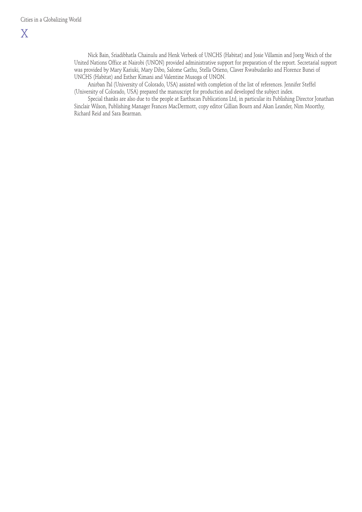Nick Bain, Sriadibhatla Chainulu and Henk Verbeek of UNCHS (Habitat) and Josie Villamin and Joerg Weich of the United Nations Office at Nairobi (UNON) provided administrative support for preparation of the report. Secretarial support was provided by Mary Kariuki, Mary Dibo, Salome Gathu, Stella Otieno, Claver Rwabudariko and Florence Bunei of UNCHS (Habitat) and Esther Kimani and Valentine Musoga of UNON.

Anirban Pal (University of Colorado, USA) assisted with completion of the list of references. Jennifer Steffel (University of Colorado, USA) prepared the manuscript for production and developed the subject index.

Special thanks are also due to the people at Earthscan Publications Ltd, in particular its Publishing Director Jonathan Sinclair Wilson, Publishing Manager Frances MacDermott, copy editor Gillian Bourn and Akan Leander, Nim Moorthy, Richard Reid and Sara Bearman.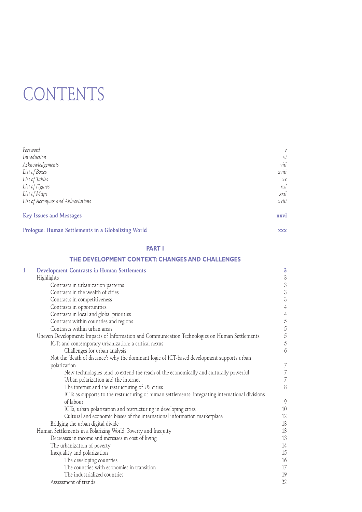## **CONTENTS**

| Foreword                                           | $\mathcal V$ |
|----------------------------------------------------|--------------|
| Introduction                                       | $\dot{vi}$   |
| Acknowledgements                                   | viii         |
| List of Boxes                                      | xviii        |
| List of Tables                                     | x x          |
| List of Figures                                    | xxi          |
| List of Maps                                       | xxii         |
| List of Acronyms and Abbreviations                 | xxiii        |
| <b>Key Issues and Messages</b>                     | xxvi         |
| Prologue: Human Settlements in a Globalizing World | <b>XXX</b>   |

#### **PART I**

#### **THE DEVELOPMENT CONTEXT: CHANGES AND CHALLENGES**

| 1 | <b>Development Contrasts in Human Settlements</b>                                               | 3                         |
|---|-------------------------------------------------------------------------------------------------|---------------------------|
|   | Highlights                                                                                      | $\ensuremath{\mathsf{3}}$ |
|   | Contrasts in urbanization patterns                                                              |                           |
|   | Contrasts in the wealth of cities                                                               | $\frac{3}{3}$             |
|   | Contrasts in competitiveness                                                                    | $\sqrt{3}$                |
|   | Contrasts in opportunities                                                                      | $\overline{4}$            |
|   | Contrasts in local and global priorities                                                        |                           |
|   | Contrasts within countries and regions                                                          | $\frac{4}{5}$             |
|   | Contrasts within urban areas                                                                    |                           |
|   | Uneven Development: Impacts of Information and Communication Technologies on Human Settlements  | $\frac{5}{5}$             |
|   | ICTs and contemporary urbanization: a critical nexus                                            | $\overline{5}$            |
|   | Challenges for urban analysis                                                                   | 6                         |
|   | Not the 'death of distance': why the dominant logic of ICT-based development supports urban     |                           |
|   | polarization                                                                                    | 7                         |
|   | New technologies tend to extend the reach of the economically and culturally powerful           | $\frac{7}{7}$             |
|   | Urban polarization and the internet                                                             |                           |
|   | The internet and the restructuring of US cities                                                 | 8                         |
|   | ICTs as supports to the restructuring of human settlements: integrating international divisions |                           |
|   | of labour                                                                                       | 9                         |
|   | ICTs, urban polarization and restructuring in developing cities                                 | 10                        |
|   | Cultural and economic biases of the international information marketplace                       | 12                        |
|   | Bridging the urban digital divide                                                               | 13                        |
|   | Human Settlements in a Polarizing World: Poverty and Inequity                                   | $13\,$                    |
|   | Decreases in income and increases in cost of living                                             | 13                        |
|   | The urbanization of poverty                                                                     | 14                        |
|   | Inequality and polarization                                                                     | $15\,$                    |
|   | The developing countries                                                                        | 16                        |
|   | The countries with economies in transition                                                      | 17                        |
|   | The industrialized countries                                                                    | 19                        |
|   | Assessment of trends                                                                            | 22                        |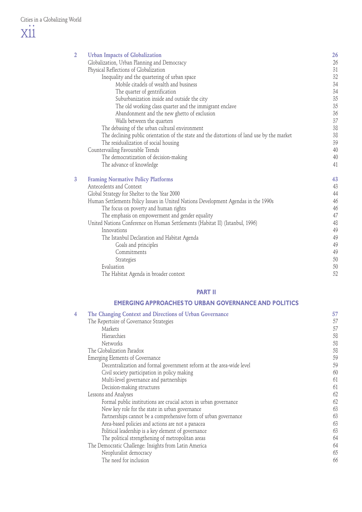| $\overline{2}$ | <b>Urban Impacts of Globalization</b>                                                       | 26     |
|----------------|---------------------------------------------------------------------------------------------|--------|
|                | Globalization, Urban Planning and Democracy                                                 | 26     |
|                | Physical Reflections of Globalization                                                       | 31     |
|                | Inequality and the quartering of urban space                                                | 32     |
|                | Mobile citadels of wealth and business                                                      | 34     |
|                | The quarter of gentrification                                                               | 34     |
|                | Suburbanization inside and outside the city                                                 | $35\,$ |
|                | The old working class quarter and the immigrant enclave                                     | $35\,$ |
|                | Abandonment and the new ghetto of exclusion                                                 | 36     |
|                | Walls between the quarters                                                                  | 37     |
|                | The debasing of the urban cultural environment                                              | 38     |
|                | The declining public orientation of the state and the distortions of land use by the market | 38     |
|                | The residualization of social housing                                                       | 39     |
|                | Countervailing Favourable Trends                                                            | 40     |
|                | The democratization of decision-making                                                      | 40     |
|                | The advance of knowledge                                                                    | 41     |
| 3              | <b>Framing Normative Policy Platforms</b>                                                   | 43     |
|                | Antecedents and Context                                                                     | 43     |
|                | Global Strategy for Shelter to the Year 2000                                                | 44     |
|                | Human Settlements Policy Issues in United Nations Development Agendas in the 1990s          | 46     |
|                | The focus on poverty and human rights                                                       | 46     |
|                | The emphasis on empowerment and gender equality                                             | 47     |
|                | United Nations Conference on Human Settlements (Habitat II) (Istanbul, 1996)                | 48     |
|                | Innovations                                                                                 | 49     |
|                | The Istanbul Declaration and Habitat Agenda                                                 | 49     |
|                | Goals and principles                                                                        | 49     |
|                | Commitments                                                                                 | 49     |
|                | Strategies                                                                                  | 50     |
|                | Evaluation                                                                                  | 50     |
|                | The Habitat Agenda in broader context                                                       | 52     |
|                |                                                                                             |        |

### **PART II**

### **EMERGING APPROACHES TO URBAN GOVERNANCE AND POLITICS**

| 4 | The Changing Context and Directions of Urban Governance              | 57 |
|---|----------------------------------------------------------------------|----|
|   | The Repertoire of Governance Strategies                              | 57 |
|   | Markets                                                              | 57 |
|   | Hierarchies                                                          | 58 |
|   | <b>Networks</b>                                                      | 58 |
|   | The Globalization Paradox                                            | 58 |
|   | Emerging Elements of Governance                                      | 59 |
|   | Decentralization and formal government reform at the area-wide level | 59 |
|   | Civil society participation in policy making                         | 60 |
|   | Multi-level governance and partnerships                              | 61 |
|   | Decision-making structures                                           | 61 |
|   | Lessons and Analyses                                                 | 62 |
|   | Formal public institutions are crucial actors in urban governance    | 62 |
|   | New key role for the state in urban governance                       | 63 |
|   | Partnerships cannot be a comprehensive form of urban governance      | 63 |
|   | Area-based policies and actions are not a panacea                    | 63 |
|   | Political leadership is a key element of governance                  | 63 |
|   | The political strengthening of metropolitan areas                    | 64 |
|   | The Democratic Challenge: Insights from Latin America                | 64 |
|   | Neopluralist democracy                                               | 65 |
|   | The need for inclusion                                               | 66 |
|   |                                                                      |    |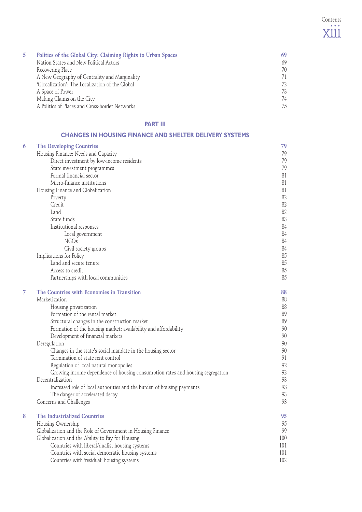xiii Contents

| $\mathbf b$ | Politics of the Global City: Claiming Rights to Urban Spaces | 69  |
|-------------|--------------------------------------------------------------|-----|
|             | Nation States and New Political Actors                       | 69  |
|             | Recovering Place                                             | 70  |
|             | A New Geography of Centrality and Marginality                | 71  |
|             | 'Glocalization': The Localization of the Global              | 72. |
|             | A Space of Power                                             | 73  |
|             | Making Claims on the City                                    | 74  |
|             | A Politics of Places and Cross-border Networks               | 75  |

#### **PART III**

#### **CHANGES IN HOUSING FINANCE AND SHELTER DELIVERY SYSTEMS**

| 6 | <b>The Developing Countries</b>                                                | 79  |
|---|--------------------------------------------------------------------------------|-----|
|   | Housing Finance: Needs and Capacity                                            | 79  |
|   | Direct investment by low-income residents                                      | 79  |
|   | State investment programmes                                                    | 79  |
|   | Formal financial sector                                                        | 81  |
|   | Micro-finance institutions                                                     | 81  |
|   | Housing Finance and Globalization                                              | 81  |
|   | Poverty                                                                        | 82  |
|   | Credit                                                                         | 82  |
|   | Land                                                                           | 82  |
|   | State funds                                                                    | 83  |
|   | Institutional responses                                                        | 84  |
|   | Local government                                                               | 84  |
|   | <b>NGOs</b>                                                                    | 84  |
|   | Civil society groups                                                           | 84  |
|   | Implications for Policy                                                        | 85  |
|   | Land and secure tenure                                                         | 85  |
|   | Access to credit                                                               | 85  |
|   | Partnerships with local communities                                            | 85  |
| 7 | The Countries with Economies in Transition                                     | 88  |
|   | Marketization                                                                  | 88  |
|   | Housing privatization                                                          | 88  |
|   | Formation of the rental market                                                 | 89  |
|   | Structural changes in the construction market                                  | 89  |
|   | Formation of the housing market: availability and affordability                | 90  |
|   | Development of financial markets                                               | 90  |
|   | Deregulation                                                                   | 90  |
|   | Changes in the state's social mandate in the housing sector                    | 90  |
|   | Termination of state rent control                                              | 91  |
|   | Regulation of local natural monopolies                                         | 92  |
|   | Growing income dependence of housing consumption rates and housing segregation | 92  |
|   | Decentralization                                                               | 93  |
|   | Increased role of local authorities and the burden of housing payments         | 93  |
|   | The danger of accelerated decay                                                | 93  |
|   | Concerns and Challenges                                                        | 93  |
| 8 | <b>The Industrialized Countries</b>                                            | 95  |
|   | Housing Ownership                                                              | 95  |
|   | Globalization and the Role of Government in Housing Finance                    | 99  |
|   | Globalization and the Ability to Pay for Housing                               | 100 |
|   | Countries with liberal/dualist housing systems                                 | 101 |
|   | Countries with social democratic housing systems                               | 101 |
|   | Countries with 'residual' housing systems                                      | 102 |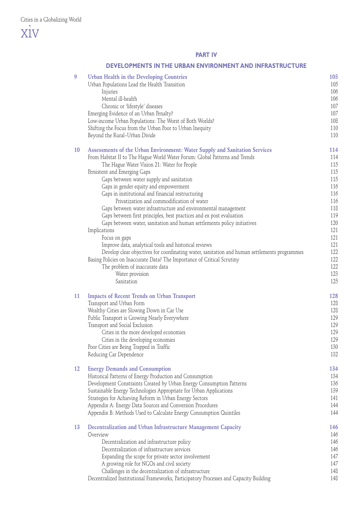

#### **PART IV**

### **DEVELOPMENTS IN THE URBAN ENVIRONMENT AND INFRASTRUCTURE 9 Urban Health in the Developing Countries 105** Urban Populations Lead the Health Transition 105 Injuries 106 Mental ill-health 106 Chronic or 'lifestyle' diseases 107 Emerging Evidence of an Urban Penalty? 107 Low-income Urban Populations: The Worst of Both Worlds? 108 Shifting the Focus from the Urban Poor to Urban Inequity 110 Beyond the Rural–Urban Divide 110 **10 Assessments of the Urban Environment: Water Supply and Sanitation Services 114** From Habitat II to The Hague World Water Forum: Global Patterns and Trends 114 The Hague Water Vision 21: Water for People 115 Persistent and Emerging Gaps 115 Gaps between water supply and sanitation 115 Gaps in gender equity and empowerment 116 Gaps in institutional and financial restructuring 116 Privatization and commodification of water 116 Gaps between water infrastructure and environmental management 118 Gaps between first principles, best practices and ex post evaluation 119 Gaps between water, sanitation and human settlements policy initiatives 120 Implications 121 Focus on gaps 121 Improve data, analytical tools and historical reviews 121 Develop clear objectives for coordinating water, sanitation and human settlements programmes 122 Basing Policies on Inaccurate Data? The Importance of Critical Scrutiny 122 The problem of inaccurate data 122 Water provision 223 Sanitation and the control of the control of the control of the control of the control of the control of the control of the control of the control of the control of the control of the control of the control of the control **11 Impacts of Recent Trends on Urban Transport 128** Transport and Urban Form 128 Wealthy Cities are Slowing Down in Car Use 128 Public Transport is Growing Nearly Everywhere 129 Transport and Social Exclusion 129 Cities in the more developed economies 129 Cities in the developing economies 129 Poor Cities are Being Trapped in Traffic 130 Reducing Car Dependence 132 **12 Energy Demands and Consumption 134** Historical Patterns of Energy Production and Consumption 134 Development Constraints Created by Urban Energy Consumption Patterns 136 Sustainable Energy Technologies Appropriate for Urban Applications 139 Strategies for Achieving Reform in Urban Energy Sectors 141 Appendix A: Energy Data Sources and Conversion Procedures 144 Appendix B: Methods Used to Calculate Energy Consumption Quintiles 144 **13 Decentralization and Urban Infrastructure Management Capacity 146** Overview 146 Decentralization and infrastructure policy 146 Decentralization of infrastructure services 146 Expanding the scope for private sector involvement 147 A growing role for NGOs and civil society 147

Challenges in the decentralization of infrastructure 148 Decentralized Institutional Frameworks, Participatory Processes and Capacity Building 148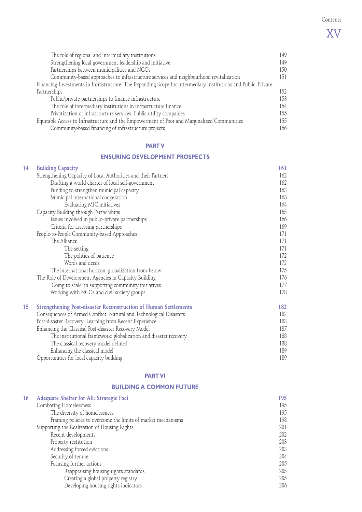

| The role of regional and intermediary institutions                                                            | 149 |
|---------------------------------------------------------------------------------------------------------------|-----|
| Strengthening local government leadership and initiative                                                      | 149 |
| Partnerships between municipalities and NGOs                                                                  | 150 |
| Community-based approaches to infrastructure services and neighbourhood revitalization                        | 151 |
| Financing Investments in Infrastructure: The Expanding Scope for Intermediary Institutions and Public-Private |     |
| Partnerships                                                                                                  | 152 |
| Public/private partnerships to finance infrastructure                                                         | 153 |
| The role of intermediary institutions in infrastructure finance                                               | 154 |
| Privatization of infrastructure services: Public utility companies                                            | 155 |
| Equitable Access to Infrastructure and the Empowerment of Poor and Marginalized Communities                   | 155 |
| Community-based financing of infrastructure projects                                                          | 156 |
|                                                                                                               |     |

#### **PART V**

### **ENSURING DEVELOPMENT PROSPECTS**

| 14 | <b>Building Capacity</b>                                               | 161 |
|----|------------------------------------------------------------------------|-----|
|    | Strengthening Capacity of Local Authorities and their Partners         | 162 |
|    | Drafting a world charter of local self-government                      | 162 |
|    | Funding to strengthen municipal capacity                               | 163 |
|    | Municipal international cooperation                                    | 163 |
|    | Evaluating MIC initiatives                                             | 164 |
|    | Capacity Building through Partnerships                                 | 165 |
|    | Issues involved in public-private partnerships                         | 166 |
|    | Criteria for assessing partnerships                                    | 169 |
|    | People-to-People Community-based Approaches                            | 171 |
|    | The Alliance                                                           | 171 |
|    | The setting                                                            | 171 |
|    | The politics of patience                                               | 172 |
|    | Words and deeds                                                        | 172 |
|    | The international horizon: globalization-from-below                    | 175 |
|    | The Role of Development Agencies in Capacity Building                  | 176 |
|    | 'Going to scale' in supporting community initiatives                   | 177 |
|    | Working with NGOs and civil society groups                             | 178 |
| 15 | <b>Strengthening Post-disaster Reconstruction of Human Settlements</b> | 182 |
|    | Consequences of Armed Conflict, Natural and Technological Disasters    | 182 |
|    | Post-disaster Recovery: Learning from Recent Experience                | 183 |
|    | Enhancing the Classical Post-disaster Recovery Model                   | 187 |
|    | The institutional framework: globalization and disaster recovery       | 188 |
|    | The classical recovery model defined                                   | 188 |
|    | Enhancing the classical model                                          | 189 |
|    | Opportunities for local capacity building                              | 189 |
|    |                                                                        |     |

#### **PART VI**

#### **BUILDING A COMMON FUTURE**

| 16 | Adequate Shelter for All: Strategic Foci                     | 195 |
|----|--------------------------------------------------------------|-----|
|    | <b>Combating Homelessness</b>                                | 195 |
|    | The diversity of homelessness                                | 195 |
|    | Framing policies to overcome the limits of market mechanisms | 198 |
|    | Supporting the Realization of Housing Rights                 | 201 |
|    | Recent developments                                          | 202 |
|    | Property restitution                                         | 203 |
|    | Addressing forced evictions                                  | 203 |
|    | Security of tenure                                           | 204 |
|    | Focusing further actions                                     | 205 |
|    | Reappraising housing rights standards                        | 205 |
|    | Creating a global property registry                          | 205 |
|    | Developing housing rights indicators                         | 206 |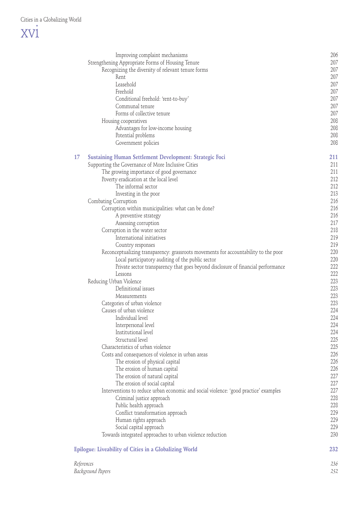|    | Improving complaint mechanisms<br>Strengthening Appropriate Forms of Housing Tenure<br>Recognizing the diversity of relevant tenure forms | 206<br>207<br>207 |
|----|-------------------------------------------------------------------------------------------------------------------------------------------|-------------------|
|    | Rent                                                                                                                                      | 207               |
|    | Leasehold                                                                                                                                 | 207               |
|    | Freehold                                                                                                                                  | 207               |
|    | Conditional freehold: 'rent-to-buy'                                                                                                       | 207               |
|    | Communal tenure                                                                                                                           | 207               |
|    | Forms of collective tenure                                                                                                                | 207               |
|    | Housing cooperatives                                                                                                                      | 208               |
|    | Advantages for low-income housing                                                                                                         | 208               |
|    | Potential problems                                                                                                                        | 208               |
|    | Government policies                                                                                                                       | 208               |
| 17 | Sustaining Human Settlement Development: Strategic Foci                                                                                   | 211               |
|    | Supporting the Governance of More Inclusive Cities                                                                                        | 211               |
|    | The growing importance of good governance                                                                                                 | 211               |
|    | Poverty eradication at the local level                                                                                                    | 212               |
|    | The informal sector                                                                                                                       | 212               |
|    | Investing in the poor                                                                                                                     | 213               |
|    | Combating Corruption                                                                                                                      | 216               |
|    | Corruption within municipalities: what can be done?                                                                                       | 216               |
|    | A preventive strategy                                                                                                                     | 216               |
|    | Assessing corruption                                                                                                                      | 217               |
|    | Corruption in the water sector                                                                                                            | 218               |
|    | International initiatives                                                                                                                 | 219               |
|    | Country responses                                                                                                                         | 219               |
|    | Reconceptualizing transparency: grassroots movements for accountability to the poor                                                       | 220               |
|    | Local participatory auditing of the public sector                                                                                         | 220               |
|    | Private sector transparency that goes beyond disclosure of financial performance                                                          | 222               |
|    | Lessons                                                                                                                                   | 222               |
|    | Reducing Urban Violence                                                                                                                   | 223               |
|    | Definitional issues                                                                                                                       | 223               |
|    | Measurements                                                                                                                              | 223               |
|    | Categories of urban violence                                                                                                              | 223               |
|    | Causes of urban violence                                                                                                                  | 224               |
|    | Individual level                                                                                                                          | 224               |
|    | Interpersonal level                                                                                                                       | 224               |
|    | Institutional level                                                                                                                       | 224               |
|    | Structural level                                                                                                                          | 225               |
|    | Characteristics of urban violence                                                                                                         | 225               |
|    | Costs and consequences of violence in urban areas                                                                                         | 226               |
|    | The erosion of physical capital                                                                                                           | 226               |
|    | The erosion of human capital                                                                                                              | 226               |
|    | The erosion of natural capital                                                                                                            | 227               |
|    | The erosion of social capital                                                                                                             | 227<br>227        |
|    | Interventions to reduce urban economic and social violence: 'good practice' examples                                                      | 228               |
|    | Criminal justice approach                                                                                                                 | 228               |
|    | Public health approach                                                                                                                    | 229               |
|    | Conflict transformation approach                                                                                                          | 229               |
|    | Human rights approach<br>Social capital approach                                                                                          | 229               |
|    | Towards integrated approaches to urban violence reduction                                                                                 | 230               |
|    |                                                                                                                                           |                   |
|    | Epilogue: Liveability of Cities in a Globalizing World                                                                                    | 232               |

| References        | 236 |
|-------------------|-----|
| Background Papers | 252 |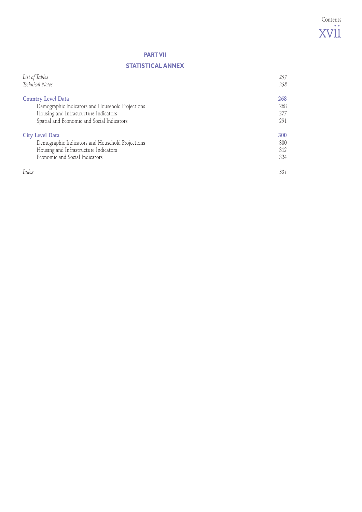#### **PART VII**

### **STATISTICAL ANNEX**

| List of Tables                                   | 257 |
|--------------------------------------------------|-----|
| Technical Notes                                  | 258 |
| <b>Country Level Data</b>                        | 268 |
| Demographic Indicators and Household Projections | 268 |
| Housing and Infrastructure Indicators            | 277 |
| Spatial and Economic and Social Indicators       | 291 |
| <b>City Level Data</b>                           | 300 |
| Demographic Indicators and Household Projections | 300 |
| Housing and Infrastructure Indicators            | 312 |
| Economic and Social Indicators                   | 324 |
| Index                                            | 331 |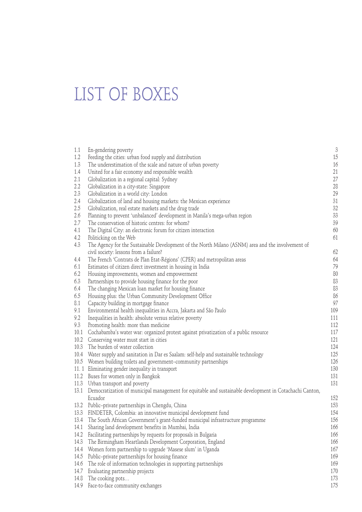## LIST OF BOXES

| 1.1  | En-gendering poverty                                                                                         | $\ensuremath{\mathsf{3}}$ |
|------|--------------------------------------------------------------------------------------------------------------|---------------------------|
| 1.2  | Feeding the cities: urban food supply and distribution                                                       | $15\,$                    |
| 1.3  | The underestimation of the scale and nature of urban poverty                                                 | 16                        |
| 1.4  | United for a fair economy and responsible wealth                                                             | 21                        |
| 2.1  | Globalization in a regional capital: Sydney                                                                  | $27\,$                    |
| 2.2  | Globalization in a city-state: Singapore                                                                     | $28\,$                    |
| 2.3  | Globalization in a world city: London                                                                        | 29                        |
| 2.4  | Globalization of land and housing markets: the Mexican experience                                            | 31                        |
| 2.5  | Globalization, real estate markets and the drug trade                                                        | $32\,$                    |
| 2.6  | Planning to prevent 'unbalanced' development in Manila's mega-urban region                                   | $33\,$                    |
| 2.7  | The conservation of historic centres: for whom?                                                              | 39                        |
| 4.1  | The Digital City: an electronic forum for citizen interaction                                                | 60                        |
| 4.2  | Politicking on the Web                                                                                       | 61                        |
| 4.3  | The Agency for the Sustainable Development of the North Milano (ASNM) area and the involvement of            |                           |
|      | civil society: lessons from a failure?                                                                       | 62                        |
| 4.4  | The French 'Contrats de Plan Etat-Régions' (CPER) and metropolitan areas                                     | 64                        |
| 6.1  | Estimates of citizen direct investment in housing in India                                                   | 79                        |
| 6.2  | Housing improvements, women and empowerment                                                                  | $80\,$                    |
| 6.3  | Partnerships to provide housing finance for the poor                                                         | 83                        |
| 6.4  | The changing Mexican loan market for housing finance                                                         | 83                        |
| 6.5  | Housing plus: the Urban Community Development Office                                                         | 86                        |
| 8.1  | Capacity building in mortgage finance                                                                        | 97                        |
| 9.1  | Environmental health inequalities in Accra, Jakarta and São Paulo                                            | 109                       |
| 9.2  | Inequalities in health: absolute versus relative poverty                                                     | 111                       |
| 9.3  | Promoting health: more than medicine                                                                         | 112                       |
|      | 10.1 Cochabamba's water war: organized protest against privatization of a public resource                    | 117                       |
|      | 10.2 Conserving water must start in cities                                                                   | 121                       |
|      | 10.3 The burden of water collection                                                                          | 124                       |
|      | 10.4 Water supply and sanitation in Dar es Saalam: self-help and sustainable technology                      | 125                       |
|      | 10.5 Women building toilets and government-community partnerships                                            | 126                       |
|      | 11.1 Eliminating gender inequality in transport                                                              | 130                       |
|      | 11.2 Buses for women only in Bangkok                                                                         | 131                       |
|      | 11.3 Urban transport and poverty                                                                             | 131                       |
|      | 13.1 Democratization of municipal management for equitable and sustainable development in Cotachachi Canton, |                           |
|      | Ecuador                                                                                                      | 152                       |
|      | 13.2 Public-private partnerships in Chengdu, China                                                           | 153                       |
|      | 13.3 FINDETER, Colombia: an innovative municipal development fund                                            | 154                       |
|      | 13.4 The South African Government's grant-funded municipal infrastructure programme                          | 156                       |
| 14.1 | Sharing land development benefits in Mumbai, India                                                           | 166                       |
| 14.2 | Facilitating partnerships by requests for proposals in Bulgaria                                              | 166                       |
| 14.3 | The Birmingham Heartlands Development Corporation, England                                                   | 166                       |
| 14.4 | Women form partnership to upgrade 'Masese slum' in Uganda                                                    | 167                       |
| 14.5 | Public-private partnerships for housing finance                                                              | 169                       |
| 14.6 | The role of information technologies in supporting partnerships                                              | 169                       |
| 14.7 | Evaluating partnership projects                                                                              | 170                       |
| 14.8 | The cooking pots                                                                                             | 173                       |
| 14.9 | Face-to-face community exchanges                                                                             | 175                       |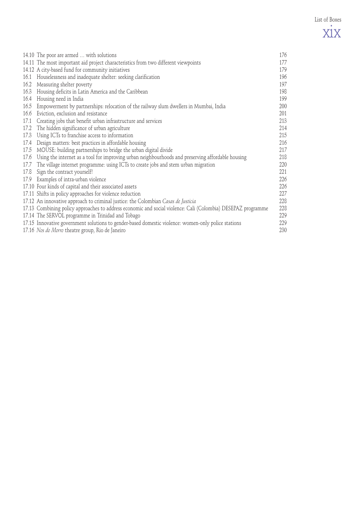

|      | 14.10 The poor are armed  with solutions                                                                     | 176 |
|------|--------------------------------------------------------------------------------------------------------------|-----|
|      | 14.11 The most important aid project characteristics from two different viewpoints                           | 177 |
|      | 14.12 A city-based fund for community initiatives                                                            | 179 |
| 16.1 | Houselessness and inadequate shelter: seeking clarification                                                  | 196 |
| 16.2 | Measuring shelter poverty                                                                                    | 197 |
| 16.3 | Housing deficits in Latin America and the Caribbean                                                          | 198 |
| 16.4 | Housing need in India                                                                                        | 199 |
| 16.5 | Empowerment by partnerships: relocation of the railway slum dwellers in Mumbai, India                        | 200 |
| 16.6 | Eviction, exclusion and resistance                                                                           | 201 |
| 17.1 | Creating jobs that benefit urban infrastructure and services                                                 | 213 |
| 17.2 | The hidden significance of urban agriculture                                                                 | 214 |
| 17.3 | Using ICTs to franchise access to information                                                                | 215 |
| 17.4 | Design matters: best practices in affordable housing                                                         | 216 |
| 17.5 | MOUSE: building partnerships to bridge the urban digital divide                                              | 217 |
| 17.6 | Using the internet as a tool for improving urban neighbourhoods and preserving affordable housing            | 218 |
| 17.7 | The village internet programme: using ICTs to create jobs and stem urban migration                           | 220 |
| 17.8 | Sign the contract yourself!                                                                                  | 221 |
| 17.9 | Examples of intra-urban violence                                                                             | 226 |
|      | 17.10 Four kinds of capital and their associated assets                                                      | 226 |
|      | 17.11 Shifts in policy approaches for violence reduction                                                     | 227 |
|      | 17.12 An innovative approach to criminal justice: the Colombian Casas de Justicia                            | 228 |
|      | 17.13 Combining policy approaches to address economic and social violence: Cali (Colombia) DESEPAZ programme | 228 |
|      | 17.14 The SERVOL programme in Trinidad and Tobago                                                            | 229 |
|      | 17.15 Innovative government solutions to gender-based domestic violence: women-only police stations          | 229 |
|      |                                                                                                              |     |

17.16 *Nos do Morro* theatre group, Rio de Janeiro 230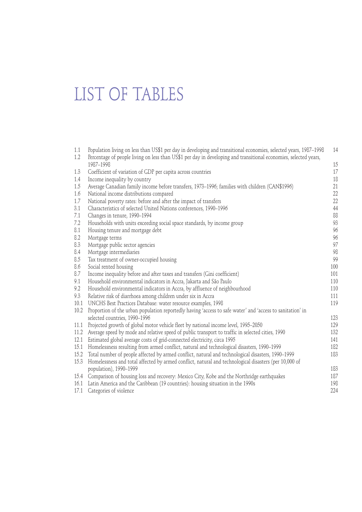## LIST OF TABLES

| 1.1<br>1.2 | Population living on less than US\$1 per day in developing and transitional economies, selected years, 1987–1998<br>Percentage of people living on less than US\$1 per day in developing and transitional economies, selected years, | 14     |
|------------|--------------------------------------------------------------------------------------------------------------------------------------------------------------------------------------------------------------------------------------|--------|
|            | 1987-1998                                                                                                                                                                                                                            | $15\,$ |
| 1.3        | Coefficient of variation of GDP per capita across countries                                                                                                                                                                          | 17     |
| 1.4        | Income inequality by country                                                                                                                                                                                                         | 18     |
| $1.5\,$    | Average Canadian family income before transfers, 1973-1996; families with children (CAN\$1996)                                                                                                                                       | 21     |
| 1.6        | National income distributions compared                                                                                                                                                                                               | $22\,$ |
| 1.7        | National poverty rates: before and after the impact of transfers                                                                                                                                                                     | 22     |
| 3.1        | Characteristics of selected United Nations conferences, 1990-1996                                                                                                                                                                    | 44     |
| 7.1        | Changes in tenure, 1990-1994                                                                                                                                                                                                         | 88     |
| $7.2\,$    | Households with units exceeding social space standards, by income group                                                                                                                                                              | 93     |
| 8.1        | Housing tenure and mortgage debt                                                                                                                                                                                                     | 96     |
| 8.2        | Mortgage terms                                                                                                                                                                                                                       | 96     |
| 8.3        | Mortgage public sector agencies                                                                                                                                                                                                      | 97     |
| 8.4        | Mortgage intermediaries                                                                                                                                                                                                              | 98     |
| 8.5        | Tax treatment of owner-occupied housing                                                                                                                                                                                              | 99     |
| 8.6        | Social rented housing                                                                                                                                                                                                                | 100    |
| 8.7        | Income inequality before and after taxes and transfers (Gini coefficient)                                                                                                                                                            | 101    |
| 9.1        | Household environmental indicators in Accra, Jakarta and São Paulo                                                                                                                                                                   | 110    |
| 9.2        | Household environmental indicators in Accra, by affluence of neighbourhood                                                                                                                                                           | 110    |
| 9.3        | Relative risk of diarrhoea among children under six in Accra                                                                                                                                                                         | 111    |
| 10.1       | UNCHS Best Practices Database: water resource examples, 1998                                                                                                                                                                         | 119    |
| 10.2       | Proportion of the urban population reportedly having 'access to safe water' and 'access to sanitation' in                                                                                                                            |        |
|            | selected countries, 1990-1996                                                                                                                                                                                                        | 123    |
| 11.1       | Projected growth of global motor vehicle fleet by national income level, 1995-2050                                                                                                                                                   | 129    |
| 11.2       | Average speed by mode and relative speed of public transport to traffic in selected cities, 1990                                                                                                                                     | 132    |
| 12.1       | Estimated global average costs of grid-connected electricity, circa 1995                                                                                                                                                             | 141    |
| 15.1       | Homelessness resulting from armed conflict, natural and technological disasters, 1990-1999                                                                                                                                           | 182    |
| 15.2       | Total number of people affected by armed conflict, natural and technological disasters, 1990-1999                                                                                                                                    | 183    |
| 15.3       | Homelessness and total affected by armed conflict, natural and technological disasters (per 10,000 of                                                                                                                                |        |
|            | population), 1990-1999                                                                                                                                                                                                               | 183    |
|            | 15.4 Comparison of housing loss and recovery: Mexico City, Kobe and the Northridge earthquakes                                                                                                                                       | 187    |
| 16.1       | Latin America and the Caribbean (19 countries): housing situation in the 1990s                                                                                                                                                       | 198    |
| 17.1       | Categories of violence                                                                                                                                                                                                               | 224    |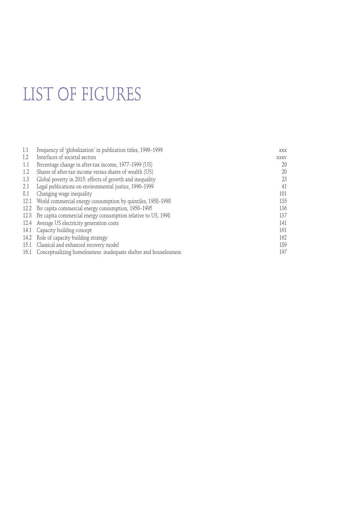## LIST OF FIGURES

| -1.1 | Frequency of 'globalization' in publication titles, 1990–1999      | XXX  |
|------|--------------------------------------------------------------------|------|
| 1.2  | Interfaces of societal sectors                                     | XXXV |
| 1.1  | Percentage change in after-tax income, 1977–1999 (US)              | 20   |
| 1.2  | Shares of after-tax income versus shares of wealth (US)            | 20   |
| 1.3  | Global poverty in 2015: effects of growth and inequality           | 23   |
| 2.1  | Legal publications on environmental justice, 1990-1999             | 41   |
| 8.1  | Changing wage inequality                                           | 101  |
| 12.1 | World commercial energy consumption by quintiles, 1958-1998        | 135  |
| 12.2 | Per capita commercial energy consumption, 1950–1995                | 136  |
| 12.3 | Per capita commercial energy consumption relative to US, 1998      | 137  |
| 12.4 | Average US electricity generation costs                            | 141  |
| 14.1 | Capacity building concept                                          | 161  |
| 14.2 | Role of capacity building strategy                                 | 162  |
|      | 15.1 Classical and enhanced recovery model                         | 189  |
| 16.1 | Conceptualizing homelessness: inadequate shelter and houselessness | 197  |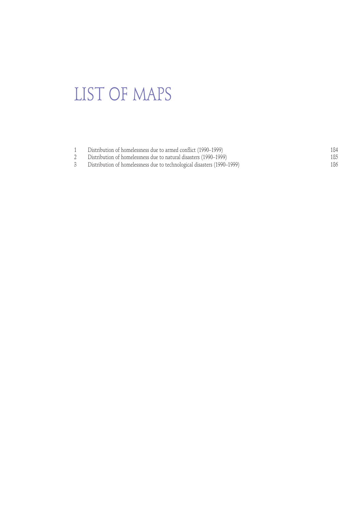## LIST OF MAPS

|  |  |  |  | Distribution of homelessness due to armed conflict (1990–1999) | 184 |
|--|--|--|--|----------------------------------------------------------------|-----|
|  |  |  |  |                                                                |     |

2 Distribution of homelessness due to natural disasters (1990–1999) 185 3 Distribution of homelessness due to technological disasters (1990–1999) 186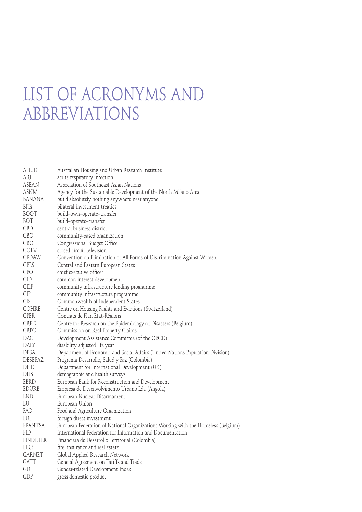## LIST OF ACRONYMS AND ABBREVIATIONS

| AHUR            | Australian Housing and Urban Research Institute                                   |
|-----------------|-----------------------------------------------------------------------------------|
| ARI             | acute respiratory infection                                                       |
| ASEAN           | Association of Southeast Asian Nations                                            |
| <b>ASNM</b>     | Agency for the Sustainable Development of the North Milano Area                   |
| BANANA          | build absolutely nothing anywhere near anyone                                     |
| BITs            | bilateral investment treaties                                                     |
| BOOT            | build–own–operate–transfer                                                        |
| BOT             | build-operate-transfer                                                            |
| CBD             | central business district                                                         |
| CBO             | community-based organization                                                      |
| CBO             | Congressional Budget Office                                                       |
| <b>CCTV</b>     | closed-circuit television                                                         |
| <b>CEDAW</b>    | Convention on Elimination of All Forms of Discrimination Against Women            |
| CEES            | Central and Eastern European States                                               |
| CEO             | chief executive officer                                                           |
| CID.            | common interest development                                                       |
| CILP            | community infrastructure lending programme                                        |
| CIP             | community infrastructure programme                                                |
| <b>CIS</b>      | Commonwealth of Independent States                                                |
| COHRE           | Centre on Housing Rights and Evictions (Switzerland)                              |
| <b>CPER</b>     | Contrats de Plan Etat-Régions                                                     |
| CRED            | Centre for Research on the Epidemiology of Disasters (Belgium)                    |
| <b>CRPC</b>     | Commission on Real Property Claims                                                |
| DAC             | Development Assistance Committee (of the OECD)                                    |
| DALY            | disability adjusted life year                                                     |
| DESA            | Department of Economic and Social Affairs (United Nations Population Division)    |
| DESEPAZ         | Programa Desarrollo, Salud y Paz (Colombia)                                       |
| DFID            | Department for International Development (UK)                                     |
| DHS             | demographic and health surveys                                                    |
| EBRD            | European Bank for Reconstruction and Development                                  |
| <b>EDURB</b>    | Empresa de Desenvolvimento Urbano Lda (Angola)                                    |
| <b>END</b>      | European Nuclear Disarmament                                                      |
| EU              | European Union                                                                    |
| FAO             | Food and Agriculture Organization                                                 |
| FDI             | foreign direct investment                                                         |
| FEANTSA         | European Federation of National Organizations Working with the Homeless (Belgium) |
| FID             | International Federation for Information and Documentation                        |
| <b>FINDETER</b> | Financiera de Desarrollo Territorial (Colombia)                                   |
| FIRE            | fire, insurance and real estate                                                   |
| <b>GARNET</b>   | Global Applied Research Network                                                   |
| <b>GATT</b>     | General Agreement on Tariffs and Trade                                            |
| GDI             | Gender-related Development Index                                                  |
| GDP             | gross domestic product                                                            |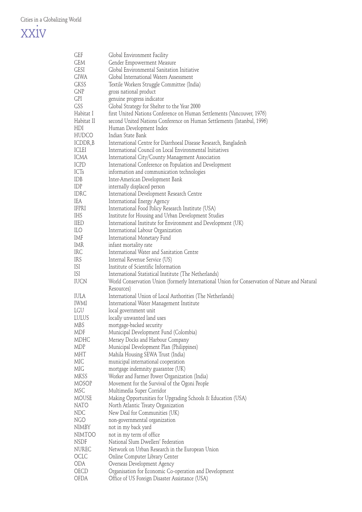## xxiv

| GEF           | Global Environment Facility                                                                   |
|---------------|-----------------------------------------------------------------------------------------------|
| GEM           | Gender Empowerment Measure                                                                    |
| <b>GESI</b>   | Global Environmental Sanitation Initiative                                                    |
| GIWA          | Global International Waters Assessment                                                        |
| GKSS          | Textile Workers Struggle Committee (India)                                                    |
|               | gross national product                                                                        |
| GNP           |                                                                                               |
| GPI           | genuine progress indicator                                                                    |
| GSS           | Global Strategy for Shelter to the Year 2000                                                  |
| Habitat I     | first United Nations Conference on Human Settlements (Vancouver, 1976)                        |
| Habitat II    | second United Nations Conference on Human Settlements (Istanbul, 1996)                        |
| HDI           | Human Development Index                                                                       |
| HUDCO         | Indian State Bank                                                                             |
| ICDDR,B       | International Centre for Diarrhoeal Disease Research, Bangladesh                              |
| ICLEI         | International Council on Local Environmental Initiatives                                      |
| ICMA          |                                                                                               |
|               | International City/County Management Association                                              |
| ICPD          | International Conference on Population and Development                                        |
| ICTs          | information and communication technologies                                                    |
| IDB           | Inter-American Development Bank                                                               |
| IDP           | internally displaced person                                                                   |
| IDRC          | International Development Research Centre                                                     |
| IEA           | International Energy Agency                                                                   |
| IFPRI         | International Food Policy Research Institute (USA)                                            |
| IHS           | Institute for Housing and Urban Development Studies                                           |
| IIED          | International Institute for Environment and Development (UK)                                  |
| ILO           | International Labour Organization                                                             |
| IMF           |                                                                                               |
|               | International Monetary Fund                                                                   |
| IMR           | infant mortality rate                                                                         |
| IRC           | International Water and Sanitation Centre                                                     |
| IRS           | Internal Revenue Service (US)                                                                 |
| ISI           | Institute of Scientific Information                                                           |
| ISI           | International Statistical Institute (The Netherlands)                                         |
| <b>IUCN</b>   | World Conservation Union (formerly International Union for Conservation of Nature and Natural |
|               | Resources)                                                                                    |
| IULA          | International Union of Local Authorities (The Netherlands)                                    |
| IWMI          | International Water Management Institute                                                      |
| <b>ICU</b>    | local government unit                                                                         |
| <b>LULUS</b>  | locally unwanted land uses                                                                    |
| MBS           | mortgage-backed security                                                                      |
|               |                                                                                               |
| MDF           | Municipal Development Fund (Colombia)                                                         |
| <b>MDHC</b>   | Mersey Docks and Harbour Company                                                              |
| MDP           | Municipal Development Plan (Philippines)                                                      |
| MHT           | Mahila Housing SEWA Trust (India)                                                             |
| MIC           | municipal international cooperation                                                           |
| МIС           | mortgage indemnity guarantee (UK)                                                             |
| MKSS          | Worker and Farmer Power Organization (India)                                                  |
| MOSOP         | Movement for the Survival of the Ogoni People                                                 |
| <b>MSC</b>    | Multimedia Super Corridor                                                                     |
| MOUSE         | Making Opportunities for Upgrading Schools & Education (USA)                                  |
| <b>NATO</b>   | North Atlantic Treaty Organization                                                            |
| <b>NDC</b>    | New Deal for Communities (UK)                                                                 |
| <b>NGO</b>    | non-governmental organization                                                                 |
|               |                                                                                               |
| <b>NIMBY</b>  | not in my back yard                                                                           |
| <b>NIMTOO</b> | not in my term of office                                                                      |
| <b>NSDF</b>   | National Slum Dwellers' Federation                                                            |
| <b>NUREC</b>  | Network on Urban Research in the European Union                                               |
| OCLC          | Online Computer Library Center                                                                |
| ODA           | Overseas Development Agency                                                                   |
| OECD          | Organisation for Economic Co-operation and Development                                        |
| OFDA          | Office of US Foreign Disaster Assistance (USA)                                                |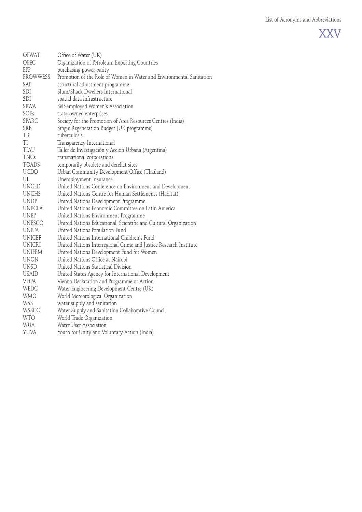

| <b>OFWAT</b>  | Office of Water (UK)                                                 |
|---------------|----------------------------------------------------------------------|
| OPEC          | Organization of Petroleum Exporting Countries                        |
| PPP           | purchasing power parity                                              |
| PROWWESS      | Promotion of the Role of Women in Water and Environmental Sanitation |
| SAP           | structural adjustment programme                                      |
| SDI           | Slum/Shack Dwellers International                                    |
| SDI           | spatial data infrastructure                                          |
| SEWA          | Self-employed Women's Association                                    |
| SOEs          | state-owned enterprises                                              |
| SPARC         | Society for the Promotion of Area Resources Centres (India)          |
| SRB           | Single Regeneration Budget (UK programme)                            |
| TB            | tuberculosis                                                         |
| TI            | Transparency International                                           |
| <b>TIAU</b>   | Taller de Investigación y Acción Urbana (Argentina)                  |
| <b>TNCs</b>   | transnational corporations                                           |
| TOADS         | temporarily obsolete and derelict sites                              |
| UCDO          | Urban Community Development Office (Thailand)                        |
| UI            | Unemployment Insurance                                               |
| <b>UNCED</b>  | United Nations Conference on Environment and Development             |
| <b>UNCHS</b>  | United Nations Centre for Human Settlements (Habitat)                |
| <b>UNDP</b>   | United Nations Development Programme                                 |
| <b>UNECLA</b> | United Nations Economic Committee on Latin America                   |
| UNEP          | United Nations Environment Programme                                 |
| <b>UNESCO</b> | United Nations Educational, Scientific and Cultural Organization     |
| <b>UNFPA</b>  | United Nations Population Fund                                       |
| <b>UNICEF</b> | United Nations International Children's Fund                         |
| <b>UNICRI</b> | United Nations Interregional Crime and Justice Research Institute    |
| UNIFEM        | United Nations Development Fund for Women                            |
| <b>UNON</b>   | United Nations Office at Nairobi                                     |
| UNSD          | United Nations Statistical Division                                  |
| <b>USAID</b>  | United States Agency for International Development                   |
| VDPA          | Vienna Declaration and Programme of Action                           |
| WEDC          | Water Engineering Development Centre (UK)                            |
| WMO           | World Meteorological Organization                                    |
| WSS           | water supply and sanitation                                          |
| WSSCC         | Water Supply and Sanitation Collaborative Council                    |
| <b>WTO</b>    | World Trade Organization                                             |
| <b>WUA</b>    | Water User Association                                               |
| YUVA          | Youth for Unity and Voluntary Action (India)                         |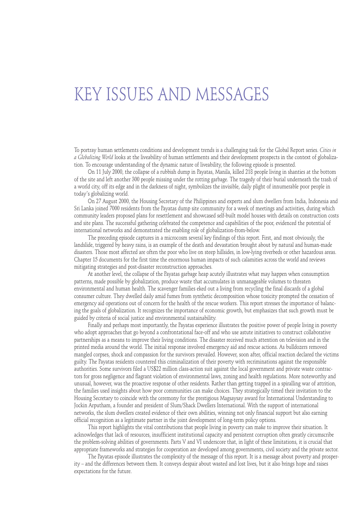## KEY ISSUES AND MESSAGES

To portray human settlements conditions and development trends is a challenging task for the Global Report series. *Cities in a Globalizing World* looks at the liveability of human settlements and their development prospects in the context of globalization. To encourage understanding of the dynamic nature of liveability, the following episode is presented.

On 11 July 2000, the collapse of a rubbish dump in Payatas, Manila, killed 218 people living in shanties at the bottom of the site and left another 300 people missing under the rotting garbage. The tragedy of their burial underneath the trash of a world city, off its edge and in the darkness of night, symbolizes the invisible, daily plight of innumerable poor people in today's globalizing world.

On 27 August 2000, the Housing Secretary of the Philippines and experts and slum dwellers from India, Indonesia and Sri Lanka joined 7000 residents from the Payatas dump site community for a week of meetings and activities, during which community leaders proposed plans for resettlement and showcased self-built model houses with details on construction costs and site plans. The successful gathering celebrated the competence and capabilities of the poor, evidenced the potential of international networks and demonstrated the enabling role of globalization-from-below.

The preceding episode captures in a microcosm several key findings of this report. First, and most obviously, the landslide, triggered by heavy rains, is an example of the death and devastation brought about by natural and human-made disasters. Those most affected are often the poor who live on steep hillsides, in low-lying riverbeds or other hazardous areas. Chapter 15 documents for the first time the enormous human impacts of such calamities across the world and reviews mitigating strategies and post-disaster reconstruction approaches.

At another level, the collapse of the Payatas garbage heap acutely illustrates what may happen when consumption patterns, made possible by globalization, produce waste that accumulates in unmanageable volumes to threaten environmental and human health. The scavenger families eked out a living from recycling the final discards of a global consumer culture. They dwelled daily amid fumes from synthetic decomposition whose toxicity prompted the cessation of emergency aid operations out of concern for the health of the rescue workers. This report stresses the importance of balancing the goals of globalization. It recognizes the importance of economic growth, but emphasizes that such growth must be guided by criteria of social justice and environmental sustainability.

Finally and perhaps most importantly, the Payatas experience illustrates the positive power of people living in poverty who adopt approaches that go beyond a confrontational face-off and who use astute initiatives to construct collaborative partnerships as a means to improve their living conditions. The disaster received much attention on television and in the printed media around the world. The initial response involved emergency aid and rescue actions. As bulldozers removed mangled corpses, shock and compassion for the survivors prevailed. However, soon after, official reaction declared the victims guilty. The Payatas residents countered this criminalization of their poverty with recriminations against the responsible authorities. Some survivors filed a US\$22 million class-action suit against the local government and private waste contractors for gross negligence and flagrant violation of environmental laws, zoning and health regulations. More noteworthy and unusual, however, was the proactive response of other residents. Rather than getting trapped in a spiralling war of attrition, the families used insights about how poor communities can make choices. They strategically timed their invitation to the Housing Secretary to coincide with the ceremony for the prestigious Magsaysay award for International Understanding to Jockin Arputham, a founder and president of Slum/Shack Dwellers International. With the support of international networks, the slum dwellers created evidence of their own abilities, winning not only financial support but also earning official recognition as a legitimate partner in the joint development of long-term policy options.

This report highlights the vital contributions that people living in poverty can make to improve their situation. It acknowledges that lack of resources, insufficient institutional capacity and persistent corruption often greatly circumscribe the problem-solving abilities of governments. Parts V and VI underscore that, in light of these limitations, it is crucial that appropriate frameworks and strategies for cooperation are developed among governments, civil society and the private sector.

The Payatas episode illustrates the complexity of the message of this report. It is a message about poverty and prosperity – and the differences between them. It conveys despair about wasted and lost lives, but it also brings hope and raises expectations for the future.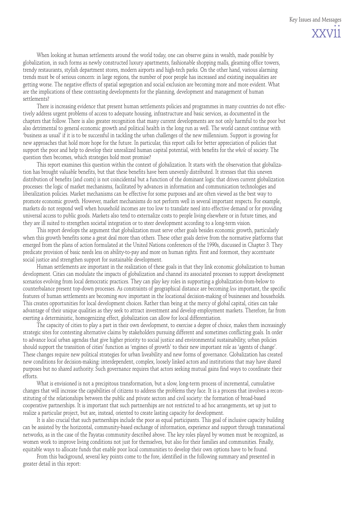When looking at human settlements around the world today, one can observe gains in wealth, made possible by globalization, in such forms as newly constructed luxury apartments, fashionable shopping malls, gleaming office towers, trendy restaurants, stylish department stores, modern airports and high-tech parks. On the other hand, various alarming trends must be of serious concern: in large regions, the number of poor people has increased and existing inequalities are getting worse. The negative effects of spatial segregation and social exclusion are becoming more and more evident. What are the implications of these contrasting developments for the planning, development and management of human settlements?

There is increasing evidence that present human settlements policies and programmes in many countries do not effectively address urgent problems of access to adequate housing, infrastructure and basic services, as documented in the chapters that follow. There is also greater recognition that many current developments are not only harmful to the poor but also detrimental to general economic growth and political health in the long run as well. The world cannot continue with 'business as usual' if it is to be successful in tackling the urban challenges of the new millennium. Support is growing for new approaches that hold more hope for the future. In particular, this report calls for better appreciation of policies that support the poor and help to develop their unrealized human capital potential, with benefits for the *whole* of society. The question then becomes, which strategies hold most promise?

This report examines this question within the context of globalization. It starts with the observation that globalization has brought valuable benefits, but that these benefits have been unevenly distributed. It stresses that this uneven distribution of benefits (and costs) is not coincidental but a function of the dominant logic that drives current globalization processes: the logic of market mechanisms, facilitated by advances in information and communication technologies and liberalization policies. Market mechanisms can be effective for some purposes and are often viewed as the best way to promote economic growth. However, market mechanisms do not perform well in several important respects. For example, markets do not respond well when household incomes are too low to translate need into effective demand or for providing universal access to public goods. Markets also tend to externalize costs to people living elsewhere or in future times, and they are ill suited to strengthen societal integration or to steer development according to a long-term vision.

This report develops the argument that globalization must serve other goals besides economic growth, particularly when this growth benefits some a great deal more than others. These other goals derive from the normative platforms that emerged from the plans of action formulated at the United Nations conferences of the 1990s, discussed in Chapter 3. They predicate provision of basic needs less on ability-to-pay and more on human rights. First and foremost, they accentuate social justice and strengthen support for sustainable development.

Human settlements are important in the realization of these goals in that they link economic globalization to human development. Cities can modulate the impacts of globalization and channel its associated processes to support development scenarios evolving from local democratic practices. They can play key roles in supporting a globalization-from-below to counterbalance present top-down processes. As constraints of geographical distance are becoming *less* important, the specific features of human settlements are becoming *more* important in the locational decision-making of businesses and households. This creates opportunities for local development choices. Rather than being at the mercy of global capital, cities can take advantage of their unique qualities as they seek to attract investment and develop employment markets. Therefore, far from exerting a deterministic, homogenizing effect, globalization can allow for local differentiation.

The capacity of cities to play a part in their own development, to exercise a degree of choice, makes them increasingly strategic sites for contesting alternative claims by stakeholders pursuing different and sometimes conflicting goals. In order to advance local urban agendas that give higher priority to social justice and environmental sustainability, urban policies should support the transition of cities' function as 'engines of growth' to their new important role as 'agents of change'. These changes require new political strategies for urban liveability and new forms of governance. Globalization has created new conditions for decision-making: interdependent, complex, loosely linked actors and institutions that may have shared purposes but no shared authority. Such governance requires that actors seeking mutual gains find ways to coordinate their efforts.

What is envisioned is not a precipitous transformation, but a slow, long-term process of incremental, cumulative changes that will increase the capabilities of citizens to address the problems they face. It is a process that involves a reconstituting of the relationships between the public and private sectors and civil society: the formation of broad-based cooperative partnerships. It is important that such partnerships are not restricted to ad hoc arrangements, set up just to realize a particular project, but are, instead, oriented to create lasting capacity for development.

It is also crucial that such partnerships include the poor as equal participants. This goal of inclusive capacity building can be assisted by the horizontal, community-based exchange of information, experience and support through transnational networks, as in the case of the Payatas community described above. The key roles played by women must be recognized, as women work to improve living conditions not just for themselves, but also for their families and communities. Finally, equitable ways to allocate funds that enable poor local communities to develop their own options have to be found.

From this background, several key points come to the fore, identified in the following summary and presented in greater detail in this report: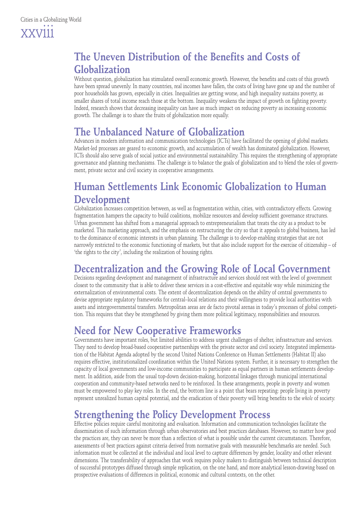### **The Uneven Distribution of the Benefits and Costs of Globalization**

Without question, globalization has stimulated overall economic growth. However, the benefits and costs of this growth have been spread unevenly. In many countries, real incomes have fallen, the costs of living have gone up and the number of poor households has grown, especially in cities. Inequalities are getting worse, and high inequality sustains poverty, as smaller shares of total income reach those at the bottom. Inequality weakens the impact of growth on fighting poverty. Indeed, research shows that decreasing inequality can have as much impact on reducing poverty as increasing economic growth. The challenge is to share the fruits of globalization more equally.

## **The Unbalanced Nature of Globalization**

Advances in modern information and communication technologies (ICTs) have facilitated the opening of global markets. Market-led processes are geared to economic growth, and accumulation of wealth has dominated globalization. However, ICTs should also serve goals of social justice and environmental sustainability. This requires the strengthening of appropriate governance and planning mechanisms. The challenge is to balance the goals of globalization and to blend the roles of government, private sector and civil society in cooperative arrangements.

### **Human Settlements Link Economic Globalization to Human Development**

Globalization increases competition between, as well as fragmentation within, cities, with contradictory effects. Growing fragmentation hampers the capacity to build coalitions, mobilize resources and develop sufficient governance structures. Urban government has shifted from a managerial approach to entrepreneurialism that treats the city as a product to be marketed. This marketing approach, and the emphasis on restructuring the city so that it appeals to global business, has led to the dominance of economic interests in urban planning. The challenge is to develop enabling strategies that are not narrowly restricted to the economic functioning of markets, but that also include support for the exercise of citizenship – of 'the rights to the city', including the realization of housing rights.

### **Decentralization and the Growing Role of Local Government**

Decisions regarding development and management of infrastructure and services should rest with the level of government closest to the community that is able to deliver these services in a cost-effective and equitable way while minimizing the externalization of environmental costs. The extent of decentralization depends on the ability of central governments to devise appropriate regulatory frameworks for central–local relations and their willingness to provide local authorities with assets and intergovernmental transfers. Metropolitan areas are de facto pivotal arenas in today's processes of global competition. This requires that they be strengthened by giving them more political legitimacy, responsibilities and resources.

## **Need for New Cooperative Frameworks**

Governments have important roles, but limited abilities to address urgent challenges of shelter, infrastructure and services. They need to develop broad-based cooperative partnerships with the private sector and civil society. Integrated implementation of the Habitat Agenda adopted by the second United Nations Conference on Human Settlements (Habitat II) also requires effective, institutionalized coordination within the United Nations system. Further, it is necessary to strengthen the capacity of local governments and low-income communities to participate as equal partners in human settlements development. In addition, aside from the usual top-down decision-making, horizontal linkages through municipal international cooperation and community-based networks need to be reinforced. In these arrangements, people in poverty and women must be empowered to play key roles. In the end, the bottom line is a point that bears repeating: people living in poverty represent unrealized human capital potential, and the eradication of their poverty will bring benefits to the *whole* of society.

## **Strengthening the Policy Development Process**

Effective policies require careful monitoring and evaluation. Information and communication technologies facilitate the dissemination of such information through urban observatories and best practices databases. However, no matter how good the practices are, they can never be more than a reflection of what is possible under the current circumstances. Therefore, assessments of best practices against criteria derived from normative goals with measurable benchmarks are needed. Such information must be collected at the individual and local level to capture differences by gender, locality and other relevant dimensions. The transferability of approaches that work requires policy makers to distinguish between technical description of successful prototypes diffused through simple replication, on the one hand, and more analytical lesson-drawing based on prospective evaluations of differences in political, economic and cultural contexts, on the other.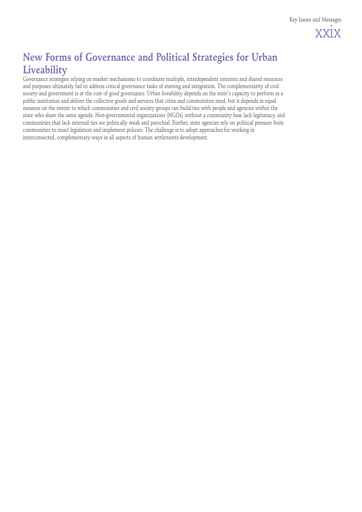### **New Forms of Governance and Political Strategies for Urban Liveability**

Governance strategies relying on market mechanisms to coordinate multiple, interdependent interests and shared resources and purposes ultimately fail to address critical governance tasks of steering and integration. The complementarity of civil society and government is at the core of good governance. Urban liveability depends on the state's capacity to perform as a public institution and deliver the collective goods and services that cities and communities need, but it depends in equal measure on the extent to which communities and civil society groups can build ties with people and agencies within the state who share the same agenda. Non-governmental organizations (NGOs) without a community base lack legitimacy, and communities that lack external ties are politically weak and parochial. Further, state agencies rely on political pressure from communities to enact legislation and implement policies. The challenge is to adopt approaches for working in interconnected, complementary ways in all aspects of human settlements development.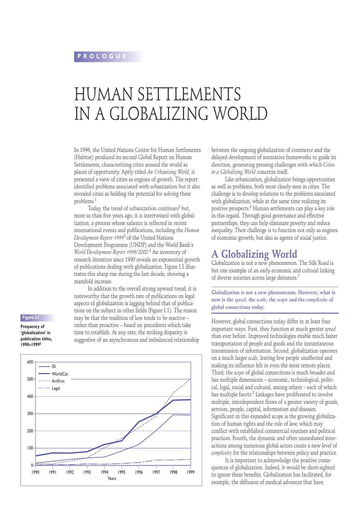## HUMAN SETTLEMENTS IN A GLOBALIZING WORLD

In 1996, the United Nations Centre for Human Settlements (Habitat) produced its second Global Report on Human Settlements, characterizing cities around the world as places of opportunity. Aptly titled *An Urbanizing World*, it presented a view of cities as engines of growth. The report identified problems associated with urbanization but it also revealed cities as holding the potential for solving these problems.<sup>1</sup>

Today, the trend of urbanization continues<sup>2</sup> but, more so than five years ago, it is intertwined with globalization, a process whose salience is reflected in recent international events and publications, including the *Human Development Report 1999*<sup>3</sup> of the United Nations Development Programme (UNDP) and the World Bank's *World Development Report 1999/2000*. <sup>4</sup> An inventory of research literature since 1990 reveals an exponential growth of publications dealing with globalization. Figure I.1 illustrates this sharp rise during the last decade, showing a manifold increase.

In addition to the overall strong upward trend, it is noteworthy that the growth rate of publications on legal aspects of globalization is lagging behind that of publications on the subject in other fields (Figure I.1). The reason may be that the tradition of law tends to be reactive – rather than proactive – based on precedents which take time to establish. At any rate, the striking disparity is suggestive of an asynchronous and imbalanced relationship between the ongoing globalization of commerce and the delayed development of normative frameworks to guide its direction, generating pressing challenges with which *Cities in a Globalizing World* concerns itself.

Like urbanization, globalization brings opportunities as well as problems, both most clearly seen in cities. The challenge is to develop solutions to the problems associated with globalization, while at the same time realizing its positive prospects.6 Human settlements can play a key role in this regard. Through good governance and effective partnerships, they can help eliminate poverty and reduce inequality. Their challenge is to function not only as engines of economic growth, but also as agents of social justice.

### **A Globalizing World**

Globalization is not a new phenomenon. The Silk Road is but one example of an early economic and cultural linking of diverse societies across large distances.7

**Globalization is not a new phenomenon. However, what is new is the** *speed***, the** *scale***, the** *scope* **and the** *complexity* **of global connections today.**

However, global connections today differ in at least four important ways. First, they function at much greater *speed* than ever before. Improved technologies enable much faster transportation of people and goods and the instantaneous transmission of information. Second, globalization operates on a much larger *scale*, leaving few people unaffected and making its influence felt in even the most remote places. Third, the *scope* of global connections is much broader and has multiple dimensions – economic, technological, political, legal, social and cultural, among others – each of which has multiple facets.<sup>8</sup> Linkages have proliferated to involve multiple, interdependent flows of a greater variety of goods, services, people, capital, information and diseases. Significant in this expanded scope is the growing globalization of human rights and the rule of law, which may conflict with established commercial routines and political practices. Fourth, the dynamic and often unmediated interactions among numerous global actors create a new level of *complexity* for the relationships between policy and practice.

It is important to acknowledge the positive consequences of globalization. Indeed, it would be short-sighted to ignore these benefits. Globalization has facilitated, for example, the diffusion of medical advances that have

#### **Figure I.1**

**Frequency of 'globalization' in publication titles, 1990–19995**

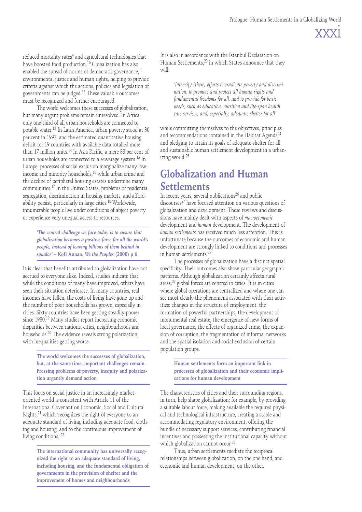## xxxi

reduced mortality rates<sup>9</sup> and agricultural technologies that have boosted food production.<sup>10</sup> Globalization has also enabled the spread of norms of democratic governance,<sup>11</sup> environmental justice and human rights, helping to provide criteria against which the actions, policies and legislation of governments can be judged.12 These valuable outcomes must be recognized and further encouraged.

The world welcomes these successes of globalization, but many urgent problems remain unresolved. In Africa, only one-third of all urban households are connected to potable water.13 In Latin America, urban poverty stood at 30 per cent in 1997, and the estimated quantitative housing deficit for 19 countries with available data totalled more than 17 million units.<sup>14</sup> In Asia Pacific, a mere 38 per cent of urban households are connected to a sewerage system.15 In Europe, processes of social exclusion marginalize many lowincome and minority households,<sup>16</sup> while urban crime and the decline of peripheral housing estates undermine many communities.17 In the United States, problems of residential segregation, discrimination in housing markets, and affordability persist, particularly in large cities.18 Worldwide, innumerable people live under conditions of abject poverty or experience very unequal access to resources.

> **'***The central challenge we face today is to ensure that globalization becomes a positive force for all the world's people, instead of leaving billions of them behind in squalor***' – Kofi Annan,** *We the Peoples* **(2000) p 6**

It is clear that benefits attributed to globalization have not accrued to everyone alike. Indeed, studies indicate that, while the conditions of many have improved, others have seen their situation deteriorate. In many countries, real incomes have fallen, the costs of living have gone up and the number of poor households has grown, especially in cities. Sixty countries have been getting steadily poorer since 1980.<sup>19</sup> Many studies report increasing economic disparities between nations, cities, neighbourhoods and households.<sup>20</sup> The evidence reveals strong polarization, with inequalities getting worse.

> **The world welcomes the successes of globalization, but, at the same time, important challenges remain. Pressing problems of poverty, inequity and polarization urgently demand action**

This focus on social justice in an increasingly marketoriented world is consistent with Article 11 of the International Covenant on Economic, Social and Cultural Rights,<sup>21</sup> which 'recognizes the right of everyone to an adequate standard of living, including adequate food, clothing and housing, and to the continuous improvement of living conditions.'<sup>22</sup>

> **The international community has universally recognized the right to an adequate standard of living, including housing, and the fundamental obligation of governments in the provision of shelter and the improvement of homes and neighbourhoods**

It is also in accordance with the Istanbul Declaration on Human Settlements,<sup>23</sup> in which States announce that they will:

> *'intensify (their) efforts to eradicate poverty and discrimination, to promote and protect all human rights and fundamental freedoms for all, and to provide for basic needs, such as education, nutrition and life-span health care services, and, especially, adequate shelter for all'*

while committing themselves to the objectives, principles and recommendations contained in the Habitat Agenda<sup>24</sup> and pledging to attain its goals of adequate shelter for all and sustainable human settlement development in a urbanizing world.<sup>25</sup>

### **Globalization and Human Settlements**

In recent years, several publications<sup>26</sup> and public  $discourse<sup>27</sup>$  have focused attention on various questions of globalization and development. These reviews and discussions have mainly dealt with aspects of *macroeconomic* development and *human* development. The development of *human settlements* has received much less attention. This is unfortunate because the outcomes of economic and human development are strongly linked to conditions and processes in human settlements.<sup>2</sup>

The processes of globalization have a distinct spatial specificity. Their outcomes also show particular geographic patterns. Although globalization certainly affects rural areas,<sup>29</sup> global forces are centred in cities. It is in cities where global operations are centralized and where one can see most clearly the phenomena associated with their activities: changes in the structure of employment, the formation of powerful partnerships, the development of monumental real estate, the emergence of new forms of local governance, the effects of organized crime, the expansion of corruption, the fragmentation of informal networks and the spatial isolation and social exclusion of certain population groups.

> **Human settlements form an important link in processes of globalization and their economic implications for human development**

The characteristics of cities and their surrounding regions, in turn, help shape globalization; for example, by providing a suitable labour force, making available the required physical and technological infrastructure, creating a stable and accommodating regulatory environment, offering the bundle of necessary support services, contributing financial incentives and possessing the institutional capacity without which globalization cannot occur.<sup>30</sup>

Thus, urban settlements mediate the reciprocal relationships between globalization, on the one hand, and economic and human development, on the other.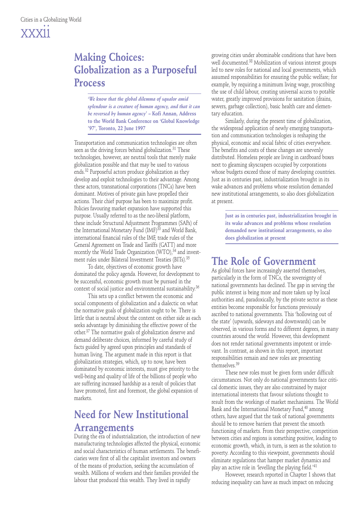xxxii

### **Making Choices: Globalization as a Purposeful Process**

**'***We know that the global dilemma of squalor amid splendour is a creature of human agency, and that it can be reversed by human agency***' – Kofi Annan, Address to the World Bank Conference on 'Global Knowledge '97', Toronto, 22 June 1997**

Transportation and communication technologies are often seen as the driving forces behind globalization.<sup>31</sup> These technologies, however, are neutral tools that merely make globalization possible and that may be used to various ends.32 Purposeful actors produce globalization as they develop and exploit technologies to their advantage. Among these actors, transnational corporations (TNCs) have been dominant. Motives of private gain have propelled their actions. Their chief purpose has been to maximize profit. Policies favouring market expansion have supported this purpose. Usually referred to as the neo-liberal platform, these include Structural Adjustment Programmes (SAPs) of the International Monetary Fund (IMF)<sup>33</sup> and World Bank, international financial rules of the IMF, trade rules of the General Agreement on Trade and Tariffs (GATT) and more recently the World Trade Organization (WTO), $34$  and investment rules under Bilateral Investment Treaties (BITs).35

To date, objectives of economic growth have dominated the policy agenda. However, for development to be successful, economic growth must be pursued in the context of social justice and environmental sustainability.<sup>36</sup>

This sets up a conflict between the economic and social components of globalization and a dialectic on what the normative goals of globalization ought to be. There is little that is neutral about the content on either side as each seeks advantage by diminishing the effective power of the other.37 The normative goals of globalization deserve and demand deliberate choices, informed by careful study of facts guided by agreed upon principles and standards of human living. The argument made in this report is that globalization strategies, which, up to now, have been dominated by economic interests, must give priority to the well-being and quality of life of the billions of people who are suffering increased hardship as a result of policies that have promoted, first and foremost, the global expansion of markets.

### **Need for New Institutional Arrangements**

During the era of industrialization, the introduction of new manufacturing technologies affected the physical, economic and social characteristics of human settlements. The beneficiaries were first of all the capitalist investors and owners of the means of production, seeking the accumulation of wealth. Millions of workers and their families provided the labour that produced this wealth. They lived in rapidly

growing cities under abominable conditions that have been well documented.<sup>38</sup> Mobilization of various interest groups led to new roles for national and local governments, which assumed responsibilities for ensuring the public welfare; for example, by requiring a minimum living wage, proscribing the use of child labour, creating universal access to potable water, greatly improved provisions for sanitation (drains, sewers, garbage collection), basic health care and elementary education.

Similarly, during the present time of globalization, the widespread application of newly emerging transportation and communication technologies is reshaping the physical, economic and social fabric of cities everywhere. The benefits and costs of these changes are unevenly distributed. Homeless people are living in cardboard boxes next to gleaming skyscrapers occupied by corporations whose budgets exceed those of many developing countries. Just as in centuries past, industrialization brought in its wake advances and problems whose resolution demanded new institutional arrangements, so also does globalization at present.

> **Just as in centuries past, industrialization brought in its wake advances and problems whose resolution demanded new institutional arrangements, so also does globalization at present**

### **The Role of Government**

As global forces have increasingly asserted themselves, particularly in the form of TNCs, the sovereignty of national governments has declined. The gap in serving the public interest is being more and more taken up by local authorities and, paradoxically, by the private sector as these entities become responsible for functions previously ascribed to national governments. This 'hollowing out of the state' (upwards, sideways and downwards) can be observed, in various forms and to different degrees, in many countries around the world. However, this development does not render national governments impotent or irrelevant. In contrast, as shown in this report, important responsibilities remain and new roles are presenting themselves.39

These new roles must be given form under difficult circumstances. Not only do national governments face critical domestic issues, they are also constrained by major international interests that favour solutions thought to result from the workings of market mechanisms. The World Bank and the International Monetary Fund,<sup>40</sup> among others, have argued that the task of national governments should be to remove barriers that prevent the smooth functioning of markets. From their perspective, competition between cities and regions is something positive, leading to economic growth, which, in turn, is seen as the solution to poverty. According to this viewpoint, governments should eliminate regulations that hamper market dynamics and play an active role in 'levelling the playing field.'41

However, research reported in Chapter 1 shows that reducing inequality can have as much impact on reducing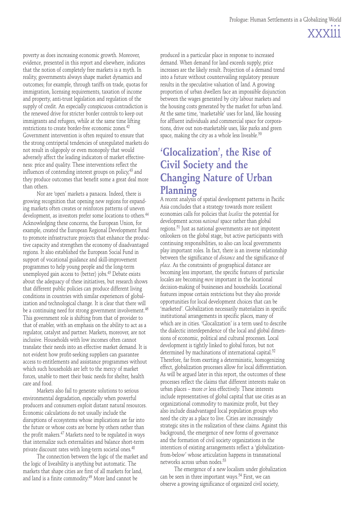poverty as does increasing economic growth. Moreover, evidence, presented in this report and elsewhere, indicates that the notion of completely free markets is a myth. In reality, governments always shape market dynamics and outcomes; for example, through tariffs on trade, quotas for immigration, licensing requirements, taxation of income and property, anti-trust legislation and regulation of the supply of credit. An especially conspicuous contradiction is the renewed drive for stricter border controls to keep out immigrants and refugees, while at the same time lifting restrictions to create border-free economic zones.<sup>42</sup> Government intervention is often required to ensure that the strong centripetal tendencies of unregulated markets do not result in oligopoly or even monopoly that would adversely affect the leading indicators of market effectiveness: price and quality. These interventions reflect the influences of contending interest groups on policy,<sup>43</sup> and they produce outcomes that benefit some a great deal more than others.

Nor are 'open' markets a panacea. Indeed, there is growing recognition that opening new regions for expanding markets often creates or reinforces patterns of uneven development, as investors prefer some locations to others.<sup>44</sup> Acknowledging these concerns, the European Union, for example, created the European Regional Development Fund to promote infrastructure projects that enhance the productive capacity and strengthen the economy of disadvantaged regions. It also established the European Social Fund in support of vocational guidance and skill-improvement programmes to help young people and the long-term unemployed gain access to (better) jobs.<sup>45</sup> Debate exists about the adequacy of these initiatives, but research shows that different public policies can produce different living conditions in countries with similar experiences of globalization and technological change. It is clear that there will be a continuing need for strong government involvement.<sup>46</sup> This government role is shifting from that of provider to that of enabler, with an emphasis on the ability to act as a regulator, catalyst and partner. Markets, moreover, are not inclusive. Households with low incomes often cannot translate their needs into an effective market demand. It is not evident how profit-seeking suppliers can guarantee access to entitlements and assistance programmes without which such households are left to the mercy of market forces, unable to meet their basic needs for shelter, health care and food.

Markets also fail to generate solutions to serious environmental degradation, especially when powerful producers and consumers exploit distant natural resources. Economic calculations do not usually include the disruptions of ecosystems whose implications are far into the future or whose costs are borne by others rather than the profit makers.<sup>47</sup> Markets need to be regulated in ways that internalize such externalities and balance short-term private discount rates with long-term societal ones.<sup>48</sup>

The connection between the logic of the market and the logic of liveability is anything but automatic. The markets that shape cities are first of all markets for land, and land is a finite commodity.49 More land cannot be

produced in a particular place in response to increased demand. When demand for land exceeds supply, price increases are the likely result. Projection of a demand trend into a future without countervailing regulatory pressure results in the speculative valuation of land. A growing proportion of urban dwellers face an impossible disjunction between the wages generated by city labour markets and the housing costs generated by the market for urban land. At the same time, 'marketable' uses for land, like housing for affluent individuals and commercial space for corporations, drive out non-marketable uses, like parks and green space, making the city as a whole less liveable.<sup>50</sup>

### **'Glocalization', the Rise of Civil Society and the Changing Nature of Urban Planning**

A recent analysis of spatial development patterns in Pacific Asia concludes that a strategy towards more resilient economies calls for policies that *localize* the potential for development across *national* space rather than global regions.<sup>51</sup> Just as national governments are not impotent onlookers on the global stage, but active participants with continuing responsibilities, so also can local governments play important roles. In fact, there is an inverse relationship between the significance of *distance* and the significance of *place*. As the constraints of geographical distance are becoming less important, the specific features of particular locales are becoming *more* important in the locational decision-making of businesses and households. Locational features impose certain restrictions but they also provide opportunities for local development choices that can be 'marketed'. Globalization necessarily materializes in specific institutional arrangements in specific places, many of which are in cities. 'Glocalization' is a term used to describe the dialectic interdependence of the local and global dimensions of economic, political and cultural processes. Local development is tightly linked to global forces, but not determined by machinations of international capital.<sup>52</sup> Therefore, far from exerting a deterministic, homogenizing effect, globalization processes allow for local differentiation. As will be argued later in this report, the outcomes of these processes reflect the claims that different interests make on urban places – more *or* less effectively. These interests include representatives of global capital that use cities as an organizational commodity to maximize profit, but they also include disadvantaged local population groups who need the city as a place to live. Cities are increasingly strategic sites in the realization of these claims. Against this background, the emergence of new forms of governance and the formation of civil society organizations in the interstices of existing arrangements reflect a 'globalizationfrom-below' whose articulation happens in transnational networks across urban nodes.<sup>53</sup>

The emergence of a new localism under globalization can be seen in three important ways.<sup>54</sup> First, we can observe a growing significance of organized civil society,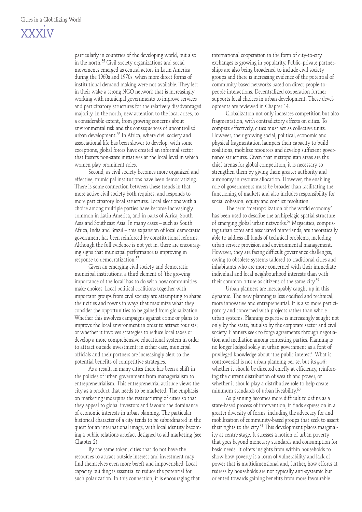xxxiv

particularly in countries of the developing world, but also in the north.<sup>55</sup> Civil society organizations and social movements emerged as central actors in Latin America during the 1960s and 1970s, when more direct forms of institutional demand making were not available. They left in their wake a strong NGO network that is increasingly working with municipal governments to improve services and participatory structures for the relatively disadvantaged majority. In the north, new attention to the local arises, to a considerable extent, from growing concerns about environmental risk and the consequences of uncontrolled urban development.56 In Africa, where civil society and associational life has been slower to develop, with some exceptions, global forces have created an informal sector that fosters non-state initiatives at the local level in which women play prominent roles.

Second, as civil society becomes more organized and effective, municipal institutions have been democratizing. There is some connection between these trends in that more active civil society both requires, and responds to more participatory local structures. Local elections with a choice among multiple parties have become increasingly common in Latin America, and in parts of Africa, South Asia and Southeast Asia. In many cases – such as South Africa, India and Brazil – this expansion of local democratic government has been reinforced by constitutional reforms. Although the full evidence is not yet in, there are encouraging signs that municipal performance is improving in response to democratization.57

Given an emerging civil society and democratic municipal institutions, a third element of 'the growing importance of the local' has to do with how communities make choices. Local political coalitions together with important groups from civil society are attempting to shape their cities and towns in ways that maximize what they consider the opportunities to be gained from globalization. Whether this involves campaigns against crime or plans to improve the local environment in order to attract tourists; or whether it involves strategies to reduce local taxes or develop a more comprehensive educational system in order to attract outside investment; in either case, municipal officials and their partners are increasingly alert to the potential benefits of competitive strategies.

As a result, in many cities there has been a shift in the policies of urban government from managerialism to entrepreneurialism. This entrepreneurial attitude views the city as a product that needs to be marketed. The emphasis on marketing underpins the restructuring of cities so that they appeal to global investors and favours the dominance of economic interests in urban planning. The particular historical character of a city tends to be subordinated in the quest for an international image, with local identity becoming a public relations artefact designed to aid marketing (see Chapter 2).

By the same token, cities that do not have the resources to attract outside interest and investment may find themselves even more bereft and impoverished. Local capacity building is essential to reduce the potential for such polarization. In this connection, it is encouraging that international cooperation in the form of city-to-city exchanges is growing in popularity. Public–private partnerships are also being broadened to include civil society groups and there is increasing evidence of the potential of community-based networks based on direct people-topeople interactions. Decentralized cooperation further supports local choices in urban development. These developments are reviewed in Chapter 14.

Globalization not only increases competition but also fragmentation, with contradictory effects on cities. To compete effectively, cities must act as collective units. However, their growing social, political, economic and physical fragmentation hampers their capacity to build coalitions, mobilize resources and develop sufficient governance structures. Given that metropolitan areas are the chief arenas for global competition, it is necessary to strengthen them by giving them greater authority and autonomy in resource allocation. However, the enabling role of governments must be broader than facilitating the functioning of markets and also includes responsibility for social cohesion, equity and conflict resolution.

The term 'metropolization of the world economy' has been used to describe the archipelagic spatial structure of emerging global urban networks.58 Megacities, comprising urban cores and associated hinterlands, are theoretically able to address all kinds of technical problems, including urban service provision and environmental management. However, they are facing difficult governance challenges, owing to obsolete systems tailored to traditional cities and inhabitants who are more concerned with their immediate individual and local neighbourhood interests than with their common future as citizens of the same city.<sup>59</sup>

Urban planners are inescapably caught up in this dynamic. The new planning is less codified and technical, more innovative and entrepreneurial. It is also more participatory and concerned with projects rather than whole urban systems. Planning expertise is increasingly sought not only by the state, but also by the corporate sector and civil society. Planners seek to forge agreements through negotiation and mediation among contesting parties. Planning is no longer lodged solely in urban government as a font of privileged knowledge about 'the public interest'. What is controversial is not urban planning per se, but its *goal*: whether it should be directed chiefly at efficiency, reinforcing the current distribution of wealth and power, or whether it should play a distributive role to help create minimum standards of urban liveability.<sup>60</sup>

As planning becomes more difficult to define as a state-based process of intervention, it finds expression in a greater diversity of forms, including the advocacy for and mobilization of community-based groups that seek to assert their rights to the city.<sup>61</sup> This development places marginality at centre stage. It stresses a notion of urban poverty that goes beyond monetary standards and consumption for basic needs. It offers insights from within households to show how poverty is a form of vulnerability and lack of power that is multidimensional and, further, how efforts at redress by households are not typically anti-systemic but oriented towards gaining benefits from more favourable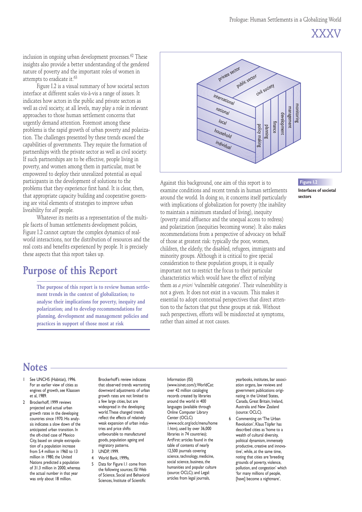## xxxv

inclusion in ongoing urban development processes.<sup>62</sup> These insights also provide a better understanding of the gendered nature of poverty and the important roles of women in attempts to eradicate it.<sup>63</sup>

Figure I.2 is a visual summary of how societal sectors interface at different scales vis-à-vis a range of issues. It indicates how actors in the public and private sectors as well as civil society, at all levels, may play a role in relevant approaches to those human settlement concerns that urgently demand attention. Foremost among these problems is the rapid growth of urban poverty and polarization. The challenges presented by these trends exceed the capabilities of governments. They require the formation of partnerships with the private sector as well as civil society. If such partnerships are to be effective, people living in poverty, and women among them in particular, must be empowered to deploy their unrealized potential as equal participants in the development of solutions to the problems that they experience first hand. It is clear, then, that appropriate capacity building and cooperative governing are vital elements of strategies to improve urban liveability for *all* people.

Whatever its merits as a representation of the multiple facets of human settlements development policies, Figure I.2 cannot capture the complex dynamics of realworld interactions, nor the distribution of resources and the real costs and benefits experienced by people. It is precisely these aspects that this report takes up.

## **Purpose of this Report**

**The purpose of this report is to review human settlement trends in the context of globalization; to analyse their implications for poverty, inequity and polarization; and to develop recommendations for planning, development and management policies and practices in support of those most at risk**



Against this background, one aim of this report is to examine conditions and recent trends in human settlements around the world. In doing so, it concerns itself particularly with implications of globalization for poverty (the inability to maintain a minimum standard of living), inequity (poverty amid affluence and the unequal access to redress) and polarization (inequities becoming worse). It also makes recommendations from a perspective of advocacy on behalf of those at greatest risk: typically the poor, women, children, the elderly, the disabled, refugees, immigrants and minority groups. Although it is critical to give special consideration to these population groups, it is equally important not to restrict the focus to their particular characteristics which would have the effect of reifying them as *a priori* 'vulnerable categories'. Their vulnerability is not a given. It does not exist in a vacuum. This makes it essential to adopt contextual perspectives that direct attention to the factors that put these groups at risk. Without such perspectives, efforts will be misdirected at symptoms, rather than aimed at root causes.

**Interfaces of societal sectors Figure I.2**

### **Notes**

- See UNCHS (Habitiat), 1996. For an earlier view of cities as engines of growth, see Klaassen et al, 1989.
- 2 Brockerhoff, 1999 reviews projected and actual urban growth rates in the developing countries since 1970. His analysis indicates a slow down of the anticipated urban transition. In the oft-cited case of Mexico City, based on simple extrapolation of a population increase from 5.4 million in 1960 to 13 million in 1980, the United Nations predicted a population of 31.3 million in 2000, whereas the actual number in that year was only about 18 million.

Brockerhoff's review indicates that observed trends warranting downward adjustments of urban growth rates are not limited to a few large cities, but are widespread in the developing world.These changed trends reflect the effects of relatively weak expansion of urban industries and price shifts unfavourable to manufactured goods, population ageing and migratory patterns. 3 UNDP, 1999.

- 4 World Bank, 1999a.
- 5 Data for Figure I.1 come from
	- the following sources; ISI:Web of Science, Social and Behavioral Sciences, Institute of Scientific

Information (ISI) (www.isinet.com/);WorldCat: over 42 million cataloging records created by libraries around the world in 400 languages (available through Online Computer Library Center (OCLC) (www.oclc.org/oclc/menu/home 1.htm), used by over 36,000 libraries in 74 countries); ArtFirst: articles found in the table of contents of nearly 12,500 journals covering science, technology, medicine, social science, business, the humanities and popular culture (source: OCLC); and Legal: articles from legal journals,

yearbooks, institutes, bar association organs, law reviews and government publications originating in the United States, Canada, Great Britain, Ireland, Australia and New Zealand (source: OCLC).

6 Commenting on 'The Urban Revolution', Klaus Töpfer has described cities as 'home to a wealth of cultural diversity, political dynamism, immensely productive, creative and innovative', while, at the same time, noting that cities are 'breeding grounds of poverty, violence, pollution, and congestion' which 'for many millions of people, [have] become a nightmare',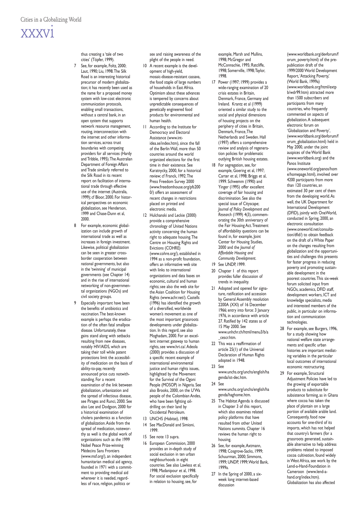## xxxvi

thus creating a 'tale of two cities' (Töpfer, 1999).

- See, for example, Foltz, 2000; Laut, 1990; Liu, 1998.The Silk Road is an interesting historical precursor of modern globalization; it has recently been used as the name for a proposed money system with low-cost electronic communication protocols, enabling small transactions, without a central bank, in an open system that supports network resource management, routing, interconnection with the internet and other information services, across trust boundaries with competing providers for all services (Hardy and Tribble, 1995).The Australian Department of Foreign Affairs and Trade similarly referred to the Silk Road in its recent report on facilitation of international trade through effective use of the internet (Australia, 1999); cf Bloor, 2000. For historical perspectives on economic globalization, see Henderson, 1999 and Chase-Dunn et al, 2000.
- 8 For example, economic globalization can include growth of international trade as well as increases in foreign investment. Likewise, political globalization can be seen in greater crossborder cooperation between national governments, but also in the 'twinning' of municipal governments (see Chapter 14) and in the rise of international networking of non-governmental organizations (NGOs) and civil society groups.
- 9 Especially important have been the benefits of antibiotics and vaccination.The best-known example is perhaps the eradication of the often fatal smallpox disease. Unfortunately, these gains stand along with setbacks resulting from new diseases, notably HIV/AIDS, which are taking their toll while patent protections limit the accessibility of medication on the basis of ability-to-pay, recently announced price cuts notwithstanding. For a recent examination of the link between globalization, urbanization and the spread of infectious disease, see Pirages and Runci, 2000. See also Lee and Dodgson, 2000 for a historical examination of cholera pandemics as a function of globalization.Aside from the spread of medication, noteworthy as well is the global work of organizations such as the 1999 Nobel Peace Prize-winning Médecins Sans Frontiers (www.msf.org/), an independent humanitarian medical aid agency, founded in 1971 with a commitment to providing medical aid wherever it is needed, regardless of race, religion, politics or

sex and raising awareness of the plight of the people in need.

- 10 A recent example is the development of high-yield, mosaic-disease-resistant cassava, the food staple of large numbers of households in East Africa. Optimism about these advances is tempered by concerns about unpredictable consequences of genetically engineered food products for environmental and human health.
- 11 According to the Institute for Democracy and Electoral Assistance (www.intidea.se/index.htm), since the fall of the Berlin Wall, more than 50 countries around the world organized elections for the first time in their existence. See Karatnycky, 2000, for a historical review; cf Franck, 1992.The Press Freedom Survey 2000 (www.freedomhouse.org/pfs200 0/) offers an assessment of recent changes in restrictions placed on printed and electronic media.
- 12 Hulchanski and Leckie (2000) provide a comprehensive chronology of United Nations activity concerning the human right to adequate housing.The Centre on Housing Rights and Evictions (COHRE) (www.cohre.org/), established in 1994 as a non-profit foundation, offers an informative web site with links to international organizations and data bases on economic, cultural and human rights; see also the web site for the Asian Coalition for Housing Rights (www.achr.net/). Castells (1996) has identified the growth of a diversified, worldwide women's movement as one of the most important grassroots developments under globalization. In this regard, see also Moghadam, 2000. For an excellent internet gateway to human rights, see www.hri.ca/.Adeola (2000) provides a discussion of a specific recent example of international environmental justice and human rights issues, highlighted by the Movement for the Survival of the Ogoni People (MOSOP) in Nigeria. See also Brooks, 2000, on the U'Wa people of the Colombian Andes, who have been fighting oildrilling on their land by Occidental Petroleum.
- 13 UNCHS (Habitat), 1998. 14 See MacDonald and Simioni, 1999.
- 15 See note 13 supra.
- 16 European Commission, 2000 provides an in-depth study of social exclusion in ten urban neighbourhoods in eight countries. See also Lawless et al, 1998; Madanipour et al, 1998. For social exclusion specifically in relation to housing, see, for

example, Marsh and Mullins, 1998; McGregor and McConnachie, 1995; Ratcliffe, 1998; Somerville, 1998;Taylor, 1998.

- 17 Power (1997; 1999) provides a wide-ranging examination of 20 crisis estates in Britain, Denmark, France, Germany and Ireland. Krantz et al (1999) oriented a similar study to the social and physical dimensions of housing projects on the periphery of cities in Britain, Denmark, France,The Netherlands and Sweden. Hall (1997) offers a comprehensive review and analysis of regeneration policies for problematic outlying British housing estates.
- 18 For segregation, see, for example, Goering et al, 1997; Carter et al, 1998; Briggs et al, 1999. Schwemm (1990) and Yinger (1995) offer excellent coverage of fair housing and discrimination. See also the special issue of Cityscape; *Journal of Policy Development and Research* (1999) 4(3), commemorating the 30th anniversary of the Fair Housing Act.Treatment of affordability questions can be found in, for example, Joint Center for Housing Studies, 2000 and the *Journal of Affordable Housing and Community Development*.
- 19 See UNDP, 1999.
- 20 Chapter I of this report provides fuller discussion of trends in inequality.
- 21 Adopted and opened for signature, ratification and accession by General Assembly resolution 2200A (XXI) of 16 December 1966; entry into force: 3 January 1976, in accordance with article 27. Ratified by 142 states as of 15 May 2000. See www.unhchr.ch/html/menu3/b/a \_cescr.htm.
- 22 This was a reaffirmation of article 25(1) of the Universal Declaration of Human Rights adopted in 1948.
- 23 See www.unchs.org/unchs/english/ha genda/ist-dec.htm.
- $24$  See www.unchs.org/unchs/english/ha genda/haghome.htm.
- 25 The Habitat Agenda is discussed in Chapter 3 of this report, which also examines related policy platforms that have resulted from other United Nations summits. Chapter 16 reviews the human right to housing.
- 26 See, for example,Axtmann, 1998; Cosgrove-Sacks, 1999; Schuurman, 2000; Simmons, 1999; UNDP, 1999;World Bank, 1999a.
- 27 In the Spring of 2000, a sixweek long internet-based discussion

(www.worldbank.org/devforum/f orum\_poverty.html) of the prepublication draft of the 1999/2000 World Development Report,'Attacking Poverty,' (World Bank, 1999a) (www.worldbank.org/html/extp b/wdr99.htm) attracted more than 1500 subscribers and participants from many countries, who frequently commented on aspects of globalization.A subsequent electronic forum on 'Globalization and Poverty', (www.worldbank.org/devforum/f orum\_globalization.html) held in May 2000, under the joint auspices of the World Bank (www.worldbank.org) and the Panos Institute (www.oneworld.org/panos/hom e/homepage.html), involved over 4200 participants from more than 120 countries, an estimated 30 per cent of them from the developing world.As well, the UK Department for International Development (DFID), jointly with OneWorld, conducted in Spring, 2000, an electronic consultation (www.oneworld.net/consultation/dfid/) to obtain feedback on the draft of a White Paper on the changes resulting from globalization and the opportunities and challenges this presents for faster progress in reducing poverty and promoting sustainable development in the poorest countries.This six-week .<br>forum solicited input from NGOs, academics, DFID staff, development workers, ICT and knowledge specialists, media and interested members of the public, in particular on information and communication technologies.

- 28 For example, see Burgers, 1996, for a study showing how national welfare state arrangements and specific urban histories are important mediating variables in the particular local outcomes of international economic restructuring.
- 29 For example, Structural Adjustment Policies have led to the growing of exportable products to substitute for subsistence farming, as in Ghana where cocoa has taken the place of plantain on a large portion of available arable land. Consequently, food now accounts for one-third of its imports, which has not helped that country's farmers (for a grassroots generated, sustainable alternative to help address problems related to imposed cocoa cultivation, found widely in West Africa, see work by the Lend-a-Hand-Foundation in Cameroon (www.lend-ahand.org/index.htm). Globalization has also affected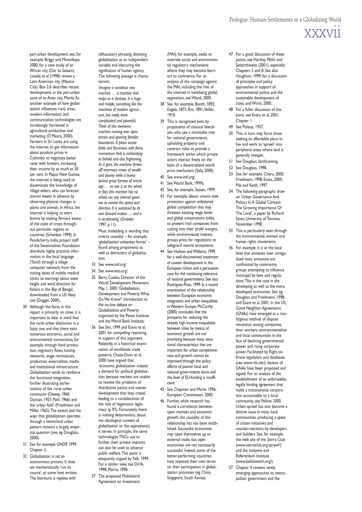peri-urban development; see, for example, Briggs and Mwamfupe, 2000, for a case study of an African city (Dar es Salaam). Losada et al (1998) review a Latin American city (Mexico City). Box 2.6 describes recent developments in the peri-urban zone of an Asian city, Manila.As another example of how globalization influences rural areas, modern information and communication technologies are increasingly harnessed in agricultural production and marketing (O'Meara, 2000). Farmers in Sri Lanka are using the internet to get information about produce prices in Colombo to negotiate better rates with brokers, increasing their income by as much as 50 per cent. In Papua New Guinea, the internet is being used to disseminate the knowledge of village elders, who can forecast storms weeks in advance by observing physical changes in plants and animals. In Africa, the internet is helping to avert famine by making farmers aware of the state of crops throughout particular regions or countries (Schenker, 1999). In Pondicherry, India, project staff of the Swaminathan Foundation distribute highly practical information in the local language (Tamil) through a village computer network, from the visiting dates of mobile medical clinics to warnings about wave height and wind direction for fishers in the Bay of Bengal, downloaded from a US Navy site (Dugger, 2000).

- 30 Although the focus in this report is primarily on cities, it is important to bear in mind that the rural–urban distinction is a fuzzy one and that there exist numerous economic, social and environmental connections; for example, through food production, migratory flows, kinship networks, wage remittances, production externalities, media and institutional infrastructure. Globalization tends to reinforce this functional integration, further illustrating earlier notions of the rural–urban continuum (Dewey, 1960; Duncan, 1957; Pahl, 1966) and the 'urban field' (Friedmann and Miller, 1965).The extent and the ways that globalization operates through a *hierarchical* urban pattern remains a largely empirical question (see, eg Douglass, 2000).
- 31 See for example UNDP, 1999, Chapter 2.
- 32 Globalization is *not* an autonomous process. It does *not* mechanistically 'run its course', as some have written. The literature is replete with

obfuscatory phrasing, denoting globalization as an independent variable and obscuring the significance of human agency. The following passage is characteristic: *'Imagine a wondrous new*

*machine … a machine that reaps as is destroys. It is huge and mobile, something like the machines of modern agriculture, but vastly more complicated and powerful. Think of this awesome machine running over open terrain and ignoring familiar boundaries. It plows across fields and fencerows with fierce momentum that is exhilarating to behold and also frightening. As it goes, the machine throws off enormous mows of wealth and bounty while it leaves behind great furrows of wreckage … no one is at the wheel. In fact, this machine has no wheel, nor any internal governor to control the speed and direction. It is sustained by its own forward motion … and it is accelerating,'* (Greider, 1997, p 11).

Most misleading is wording that inverts causality – for example, 'globalization unleashes forces' – found among proponents as well as detractors of globalization.

- 33 See www.imf.org/
- 34 See www.wto.org/
- 35 Barry Coates, Director of the World Development Movement. May 1, 2000.'Globalisation, Development and Poverty:What Do We Know?' Introduction to the on-line debate on Globalization and Poverty organized by the Panos Institute and the World Bank Institute.
- 36 See Sen, 1999 and Evans et al, 2001 for compelling reasoning in support of this argument. Relatedly, in a historical examination of worldwide trade patterns, Chase-Dunn et al, 2000 have argued that 'economic globalization creates a demand for political globalization because markets are unable to resolve the problems of distributive justice and uneven development that they create', leading to a consideration of the role of hegemonic legitimacy (p 93). Fortunately, there is nothing deterministic about the ideological content of globalization or the aspiration(s) it serves. In principle, the same technologies TNCs use to further their private interests can also be used to advance public welfare.This point is eloquently argued by Falk, 1999. For a similar view, see Dirlik,
- 1998; Marris, 1998. 37 The proposed Multilateral Agreement on Investment

(MAI), for example, seeks to override social and environmental regulatory mechanisms where they may become barriers to commerce. For an analysis of the campaign against the MAI, including the role of the internet in mobilizing global opposition, see Wood, 2000.

- See, for example, Booth, 1892; Engels, 1872; Riis, 1891;Veiller, 1910. 39 This is recognized even by
- proponents of classical liberalism, who see a minimalist role for national governments, upholding property and contract rules to provide a framework within which private actors interact freely on the basis of a decentralized world price mechanism (Sally, 2000).
- 40 See www.imf.org/.
- 41 See World Bank, 1999a. 42 See, for example, Sassen, 1999.
- 43 For example, labour unions seek protection against unfettered global competition that may threaten existing wage levels and global corporations lobby to prevent rival companies from cutting into their profit margins, while environmental interest groups press for regulations to safeguard natural ecosystems.
- 44 See Hudson and Williams, 1999, for a well-documented treatment of uneven development in the European Union and a persuasive case for the continuing relevance of national governments. See also Rodriguez-Pose, 1999. In a recent examination of the relationship between European economic integration and urban inequalities in Western Europe, McCarthy (2000) concludes that the prospects for reducing the already high income inequalities between cities by means of economic growth are not promising because many situational characteristics that are important for urban competitiveness and growth cannot be improved through the policy efforts of poorer local and national governments alone and the level of EU-funding is insufficient.
- 45 See Chapman and Murie, 1996; European Commission, 2000.
- Further, while research has found a correlation between open markets and economic growth, the causality of this relationship has not been established. Successful economies may open themselves up to external trade, but open economies are not necessarily successful. Indeed, some of the better-performing countries have imposed their own terms on their participation in globalization processes (eg China, Singapore, South Korea).
- 47 For a good discussion of these points, see Hardoy, Mitlin and Satterthwaite (2001), especially Chapters 5 and 8. See also Haughton, 1999, for a discussion of principles and policy approaches in support of environmental justice and the sustainable development of cities, and Wirth, 2000.
- For a fuller discussion of this point, see Evans et al, 2001, Chapter 1.
- 49 See Polanyi, 1957.
- This, in turn, may force those seeking an affordable place to live and work to 'sprawl' into peripheral areas where land is generally cheaper.
- 51 See Douglass, forthcoming.
- 52 See Douglass, 1998.
- See, for example, Cheru, 2000; Friedmann, 1998; Evans, 2000; Pile and Keith, 1997.
- The following paragraphs draw on 'Urban Governance And Politics In A Global Context: The Growing Importance Of The Local', a paper by Richard Stren, University of Toronto, November 1998.
- This is particularly seen through the environmental, women and human rights movements.
- 56 For example, it is at the local level that anxieties over unregulated toxic emissions are confronted by community groups attempting to influence municipal by-laws and regulations.This is the case in the developing as well as the more developed economies. See, eg Douglass and Friedmann, 1998; and Evans et al, 2001. In the US, Good Neighbor Agreements (GNAs) have emerged as a nonlitigious method of dispute resolution among companies, their workers, environmentalists and local communities in the face of declining governmental power and rising corporate power. Facilitated by Right-to-Know legislation and databases (see www.rtk.net/), dozens of GNAs have been proposed and signed. For an analysis of the establishment of an enforceable, legally binding agreement that holds a transnational corporation accountable to a local community, see Pellow, 2000. Urban sprawl has also become a divisive issue in many local communities, producing a spate of citizen initiatives and counter-reactions by developers and builders. See, for example, the web site of the Sierra Club (www.sierraclub.org/sprawl/) and the Initiative and Referendum Institute (www.ballotwatch.org/).
- 57 Chapter 4 reviews newly emerging approaches to metropolitan government and the